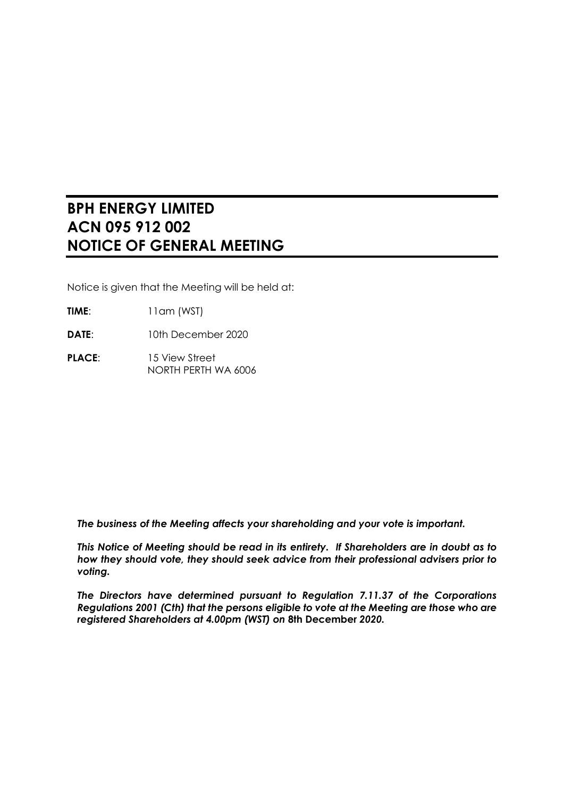# **BPH ENERGY LIMITED ACN 095 912 002 NOTICE OF GENERAL MEETING**

Notice is given that the Meeting will be held at:

- **TIME**: 11am (WST)
- **DATE**: 10th December 2020
- PLACE: 15 View Street NORTH PERTH WA 6006

*The business of the Meeting affects your shareholding and your vote is important.*

*This Notice of Meeting should be read in its entirety. If Shareholders are in doubt as to how they should vote, they should seek advice from their professional advisers prior to voting.*

*The Directors have determined pursuant to Regulation 7.11.37 of the Corporations Regulations 2001 (Cth) that the persons eligible to vote at the Meeting are those who are registered Shareholders at 4.00pm (WST) on* **8th December** *2020.*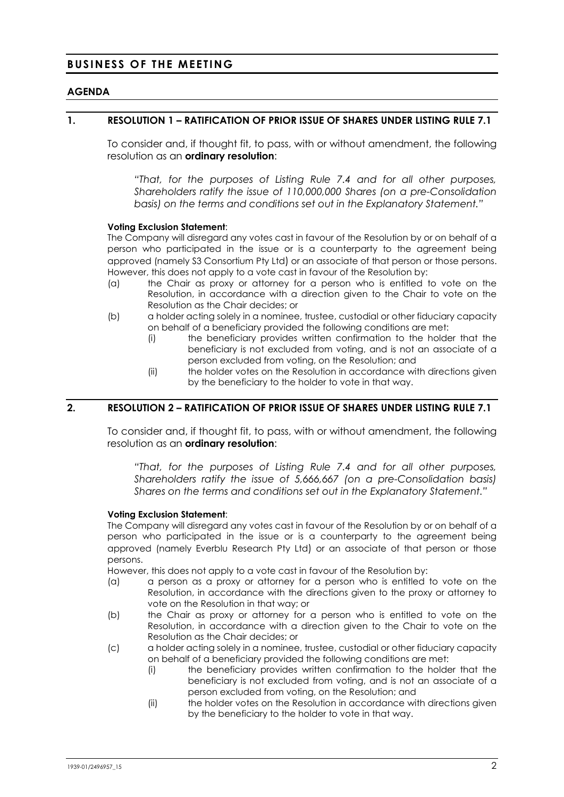# **BUSINESS OF THE MEETING**

### **AGENDA**

### **1. RESOLUTION 1 – RATIFICATION OF PRIOR ISSUE OF SHARES UNDER LISTING RULE 7.1**

<span id="page-1-0"></span>To consider and, if thought fit, to pass, with or without amendment, the following resolution as an **ordinary resolution**:

*"That, for the purposes of Listing Rule 7.4 and for all other purposes, Shareholders ratify the issue of 110,000,000 Shares (on a pre-Consolidation basis) on the terms and conditions set out in the Explanatory Statement."*

#### **Voting Exclusion Statement**:

The Company will disregard any votes cast in favour of the Resolution by or on behalf of a person who participated in the issue or is a counterparty to the agreement being approved (namely S3 Consortium Pty Ltd) or an associate of that person or those persons. However, this does not apply to a vote cast in favour of the Resolution by:

- (a) the Chair as proxy or attorney for a person who is entitled to vote on the Resolution, in accordance with a direction given to the Chair to vote on the Resolution as the Chair decides; or
- (b) a holder acting solely in a nominee, trustee, custodial or other fiduciary capacity on behalf of a beneficiary provided the following conditions are met:
	- (i) the beneficiary provides written confirmation to the holder that the beneficiary is not excluded from voting, and is not an associate of a person excluded from voting, on the Resolution; and
	- (ii) the holder votes on the Resolution in accordance with directions given by the beneficiary to the holder to vote in that way.

### **2. RESOLUTION 2 – RATIFICATION OF PRIOR ISSUE OF SHARES UNDER LISTING RULE 7.1**

<span id="page-1-1"></span>To consider and, if thought fit, to pass, with or without amendment, the following resolution as an **ordinary resolution**:

*"That, for the purposes of Listing Rule 7.4 and for all other purposes, Shareholders ratify the issue of 5,666,667 (on a pre-Consolidation basis) Shares on the terms and conditions set out in the Explanatory Statement."*

#### **Voting Exclusion Statement**:

The Company will disregard any votes cast in favour of the Resolution by or on behalf of a person who participated in the issue or is a counterparty to the agreement being approved (namely Everblu Research Pty Ltd) or an associate of that person or those persons.

However, this does not apply to a vote cast in favour of the Resolution by:

- (a) a person as a proxy or attorney for a person who is entitled to vote on the Resolution, in accordance with the directions given to the proxy or attorney to vote on the Resolution in that way; or
- (b) the Chair as proxy or attorney for a person who is entitled to vote on the Resolution, in accordance with a direction given to the Chair to vote on the Resolution as the Chair decides; or
- (c) a holder acting solely in a nominee, trustee, custodial or other fiduciary capacity on behalf of a beneficiary provided the following conditions are met:
	- (i) the beneficiary provides written confirmation to the holder that the beneficiary is not excluded from voting, and is not an associate of a person excluded from voting, on the Resolution; and
	- (ii) the holder votes on the Resolution in accordance with directions given by the beneficiary to the holder to vote in that way.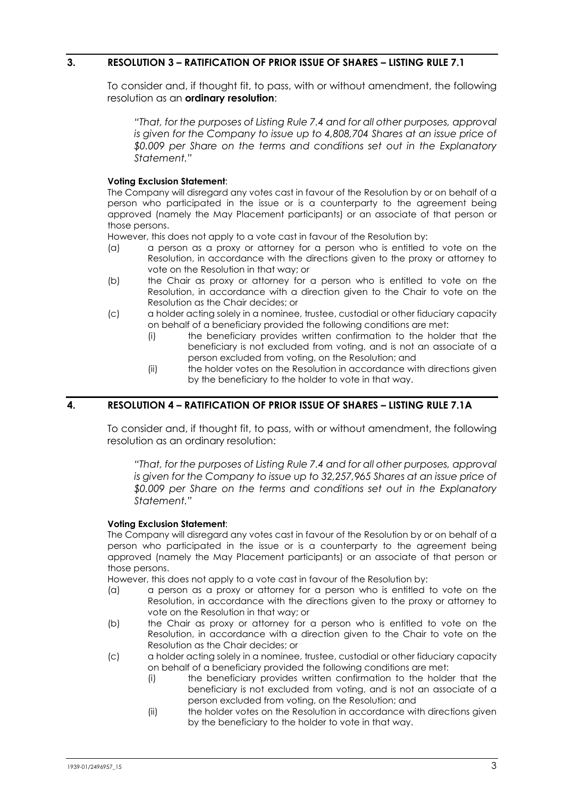### **3. RESOLUTION 3 – RATIFICATION OF PRIOR ISSUE OF SHARES – LISTING RULE 7.1**

<span id="page-2-0"></span>To consider and, if thought fit, to pass, with or without amendment, the following resolution as an **ordinary resolution**:

*"That, for the purposes of Listing Rule 7.4 and for all other purposes, approval is given for the Company to issue up to 4,808,704 Shares at an issue price of \$0.009 per Share on the terms and conditions set out in the Explanatory Statement."*

#### **Voting Exclusion Statement**:

The Company will disregard any votes cast in favour of the Resolution by or on behalf of a person who participated in the issue or is a counterparty to the agreement being approved (namely the May Placement participants) or an associate of that person or those persons.

However, this does not apply to a vote cast in favour of the Resolution by:

- (a) a person as a proxy or attorney for a person who is entitled to vote on the Resolution, in accordance with the directions given to the proxy or attorney to vote on the Resolution in that way; or
- (b) the Chair as proxy or attorney for a person who is entitled to vote on the Resolution, in accordance with a direction given to the Chair to vote on the Resolution as the Chair decides; or
- (c) a holder acting solely in a nominee, trustee, custodial or other fiduciary capacity on behalf of a beneficiary provided the following conditions are met:
	- (i) the beneficiary provides written confirmation to the holder that the beneficiary is not excluded from voting, and is not an associate of a person excluded from voting, on the Resolution; and
	- (ii) the holder votes on the Resolution in accordance with directions given by the beneficiary to the holder to vote in that way.

## **4. RESOLUTION 4 – RATIFICATION OF PRIOR ISSUE OF SHARES – LISTING RULE 7.1A**

<span id="page-2-1"></span>To consider and, if thought fit, to pass, with or without amendment, the following resolution as an ordinary resolution:

*"That, for the purposes of Listing Rule 7.4 and for all other purposes, approval is given for the Company to issue up to 32,257,965 Shares at an issue price of \$0.009 per Share on the terms and conditions set out in the Explanatory Statement."*

#### **Voting Exclusion Statement**:

The Company will disregard any votes cast in favour of the Resolution by or on behalf of a person who participated in the issue or is a counterparty to the agreement being approved (namely the May Placement participants) or an associate of that person or those persons.

However, this does not apply to a vote cast in favour of the Resolution by:

- (a) a person as a proxy or attorney for a person who is entitled to vote on the Resolution, in accordance with the directions given to the proxy or attorney to vote on the Resolution in that way; or
- (b) the Chair as proxy or attorney for a person who is entitled to vote on the Resolution, in accordance with a direction given to the Chair to vote on the Resolution as the Chair decides; or
- (c) a holder acting solely in a nominee, trustee, custodial or other fiduciary capacity on behalf of a beneficiary provided the following conditions are met:
	- (i) the beneficiary provides written confirmation to the holder that the beneficiary is not excluded from voting, and is not an associate of a person excluded from voting, on the Resolution; and
	- (ii) the holder votes on the Resolution in accordance with directions given by the beneficiary to the holder to vote in that way.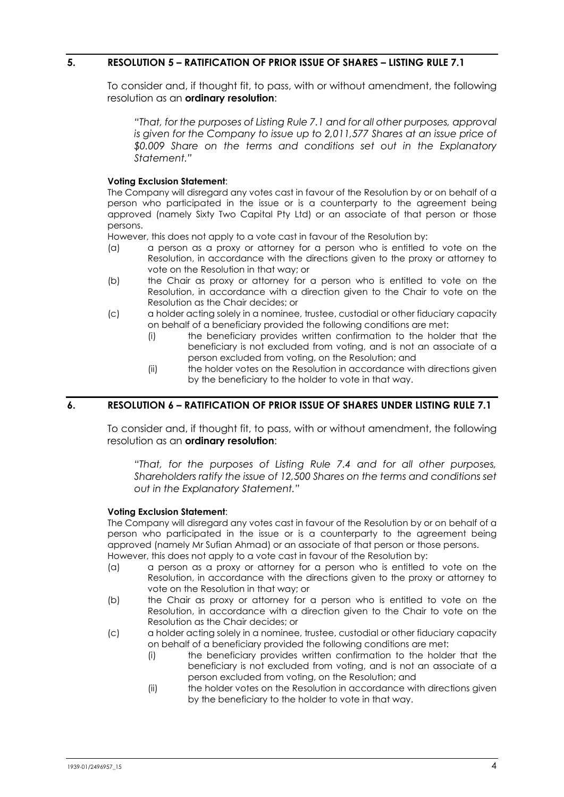### <span id="page-3-0"></span>**5. RESOLUTION 5 – RATIFICATION OF PRIOR ISSUE OF SHARES – LISTING RULE 7.1**

<span id="page-3-1"></span>To consider and, if thought fit, to pass, with or without amendment, the following resolution as an **ordinary resolution**:

*"That, for the purposes of Listing Rule 7.1 and for all other purposes, approval is given for the Company to issue up to 2,011,577 Shares at an issue price of \$0.009 Share on the terms and conditions set out in the Explanatory Statement."*

#### **Voting Exclusion Statement**:

The Company will disregard any votes cast in favour of the Resolution by or on behalf of a person who participated in the issue or is a counterparty to the agreement being approved (namely Sixty Two Capital Pty Ltd) or an associate of that person or those persons.

However, this does not apply to a vote cast in favour of the Resolution by:

- (a) a person as a proxy or attorney for a person who is entitled to vote on the Resolution, in accordance with the directions given to the proxy or attorney to vote on the Resolution in that way; or
- (b) the Chair as proxy or attorney for a person who is entitled to vote on the Resolution, in accordance with a direction given to the Chair to vote on the Resolution as the Chair decides; or
- (c) a holder acting solely in a nominee, trustee, custodial or other fiduciary capacity on behalf of a beneficiary provided the following conditions are met:
	- (i) the beneficiary provides written confirmation to the holder that the beneficiary is not excluded from voting, and is not an associate of a person excluded from voting, on the Resolution; and
	- (ii) the holder votes on the Resolution in accordance with directions given by the beneficiary to the holder to vote in that way.

# <span id="page-3-3"></span>**6. RESOLUTION 6 – RATIFICATION OF PRIOR ISSUE OF SHARES UNDER LISTING RULE 7.1**

<span id="page-3-2"></span>To consider and, if thought fit, to pass, with or without amendment, the following resolution as an **ordinary resolution**:

*"That, for the purposes of Listing Rule 7.4 and for all other purposes, Shareholders ratify the issue of 12,500 Shares on the terms and conditions set out in the Explanatory Statement."*

#### **Voting Exclusion Statement**:

The Company will disregard any votes cast in favour of the Resolution by or on behalf of a person who participated in the issue or is a counterparty to the agreement being approved (namely Mr Sufian Ahmad) or an associate of that person or those persons. However, this does not apply to a vote cast in favour of the Resolution by:

- (a) a person as a proxy or attorney for a person who is entitled to vote on the Resolution, in accordance with the directions given to the proxy or attorney to vote on the Resolution in that way; or
- (b) the Chair as proxy or attorney for a person who is entitled to vote on the Resolution, in accordance with a direction given to the Chair to vote on the Resolution as the Chair decides; or
- (c) a holder acting solely in a nominee, trustee, custodial or other fiduciary capacity on behalf of a beneficiary provided the following conditions are met:
	- (i) the beneficiary provides written confirmation to the holder that the beneficiary is not excluded from voting, and is not an associate of a person excluded from voting, on the Resolution; and
	- (ii) the holder votes on the Resolution in accordance with directions given by the beneficiary to the holder to vote in that way.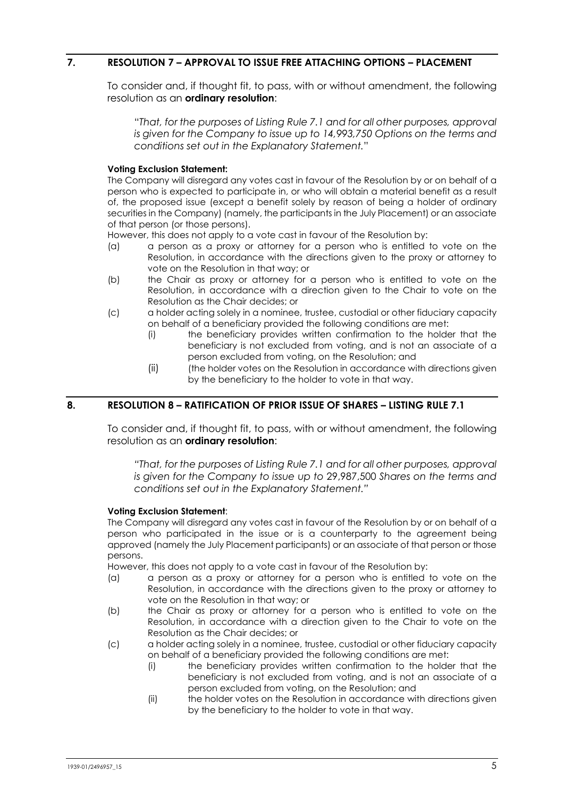### <span id="page-4-0"></span>**7. RESOLUTION 7 – APPROVAL TO ISSUE FREE ATTACHING OPTIONS – PLACEMENT**

To consider and, if thought fit, to pass, with or without amendment, the following resolution as an **ordinary resolution**:

"*That, for the purposes of Listing Rule 7.1 and for all other purposes, approval is given for the Company to issue up to 14,993,750 Options on the terms and conditions set out in the Explanatory Statement.*"

#### **Voting Exclusion Statement:**

The Company will disregard any votes cast in favour of the Resolution by or on behalf of a person who is expected to participate in, or who will obtain a material benefit as a result of, the proposed issue (except a benefit solely by reason of being a holder of ordinary securities in the Company) (namely, the participants in the July Placement) or an associate of that person (or those persons).

However, this does not apply to a vote cast in favour of the Resolution by:

- (a) a person as a proxy or attorney for a person who is entitled to vote on the Resolution, in accordance with the directions given to the proxy or attorney to vote on the Resolution in that way; or
- (b) the Chair as proxy or attorney for a person who is entitled to vote on the Resolution, in accordance with a direction given to the Chair to vote on the Resolution as the Chair decides; or
- (c) a holder acting solely in a nominee, trustee, custodial or other fiduciary capacity on behalf of a beneficiary provided the following conditions are met:
	- (i) the beneficiary provides written confirmation to the holder that the beneficiary is not excluded from voting, and is not an associate of a person excluded from voting, on the Resolution; and
	- (ii) (the holder votes on the Resolution in accordance with directions given by the beneficiary to the holder to vote in that way.

# <span id="page-4-1"></span>**8. RESOLUTION 8 – RATIFICATION OF PRIOR ISSUE OF SHARES – LISTING RULE 7.1**

To consider and, if thought fit, to pass, with or without amendment, the following resolution as an **ordinary resolution**:

*"That, for the purposes of Listing Rule 7.1 and for all other purposes, approval is given for the Company to issue up to* 29,987,500 *Shares on the terms and conditions set out in the Explanatory Statement."*

#### **Voting Exclusion Statement**:

The Company will disregard any votes cast in favour of the Resolution by or on behalf of a person who participated in the issue or is a counterparty to the agreement being approved (namely the July Placement participants) or an associate of that person or those persons.

However, this does not apply to a vote cast in favour of the Resolution by:

- (a) a person as a proxy or attorney for a person who is entitled to vote on the Resolution, in accordance with the directions given to the proxy or attorney to vote on the Resolution in that way; or
- (b) the Chair as proxy or attorney for a person who is entitled to vote on the Resolution, in accordance with a direction given to the Chair to vote on the Resolution as the Chair decides; or
- (c) a holder acting solely in a nominee, trustee, custodial or other fiduciary capacity on behalf of a beneficiary provided the following conditions are met:
	- (i) the beneficiary provides written confirmation to the holder that the beneficiary is not excluded from voting, and is not an associate of a person excluded from voting, on the Resolution; and
	- (ii) the holder votes on the Resolution in accordance with directions given by the beneficiary to the holder to vote in that way.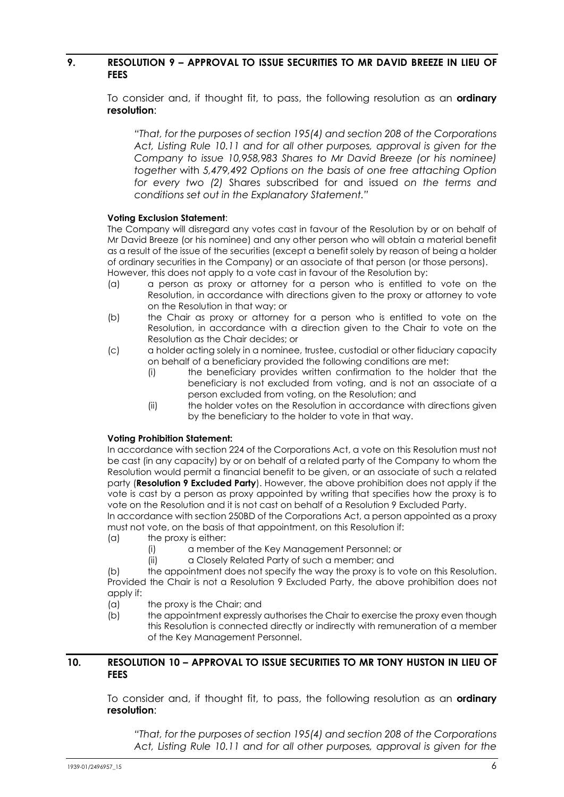### <span id="page-5-0"></span>**9. RESOLUTION 9 – APPROVAL TO ISSUE SECURITIES TO MR DAVID BREEZE IN LIEU OF FEES**

<span id="page-5-2"></span>To consider and, if thought fit, to pass, the following resolution as an **ordinary resolution**:

*"That, for the purposes of section 195(4) and section 208 of the Corporations Act, Listing Rule 10.11 and for all other purposes, approval is given for the Company to issue 10,958,983 Shares to Mr David Breeze (or his nominee) together* with *5,479,492 Options on the basis of one free attaching Option for every two (2)* Shares subscribed for and issued *on the terms and conditions set out in the Explanatory Statement."*

#### **Voting Exclusion Statement**:

The Company will disregard any votes cast in favour of the Resolution by or on behalf of Mr David Breeze (or his nominee) and any other person who will obtain a material benefit as a result of the issue of the securities (except a benefit solely by reason of being a holder of ordinary securities in the Company) or an associate of that person (or those persons). However, this does not apply to a vote cast in favour of the Resolution by:

- (a) a person as proxy or attorney for a person who is entitled to vote on the Resolution, in accordance with directions given to the proxy or attorney to vote on the Resolution in that way; or
- (b) the Chair as proxy or attorney for a person who is entitled to vote on the Resolution, in accordance with a direction given to the Chair to vote on the Resolution as the Chair decides; or
- (c) a holder acting solely in a nominee, trustee, custodial or other fiduciary capacity on behalf of a beneficiary provided the following conditions are met:
	- (i) the beneficiary provides written confirmation to the holder that the beneficiary is not excluded from voting, and is not an associate of a person excluded from voting, on the Resolution; and
	- (ii) the holder votes on the Resolution in accordance with directions given by the beneficiary to the holder to vote in that way.

#### **Voting Prohibition Statement:**

In accordance with section 224 of the Corporations Act, a vote on this Resolution must not be cast (in any capacity) by or on behalf of a related party of the Company to whom the Resolution would permit a financial benefit to be given, or an associate of such a related party (**Resolution [9](#page-5-0) Excluded Party**). However, the above prohibition does not apply if the vote is cast by a person as proxy appointed by writing that specifies how the proxy is to vote on the Resolution and it is not cast on behalf of a Resolution [9](#page-5-0) Excluded Party.

In accordance with section 250BD of the Corporations Act, a person appointed as a proxy must not vote, on the basis of that appointment, on this Resolution if:

- (a) the proxy is either:
	- (i) a member of the Key Management Personnel; or
	- (ii) a Closely Related Party of such a member; and

(b) the appointment does not specify the way the proxy is to vote on this Resolution. Provided the Chair is not a Resolution [9](#page-5-0) Excluded Party, the above prohibition does not apply if:

- (a) the proxy is the Chair; and
- (b) the appointment expressly authorises the Chair to exercise the proxy even though this Resolution is connected directly or indirectly with remuneration of a member of the Key Management Personnel.

### <span id="page-5-1"></span>**10. RESOLUTION 10 – APPROVAL TO ISSUE SECURITIES TO MR TONY HUSTON IN LIEU OF FEES**

To consider and, if thought fit, to pass, the following resolution as an **ordinary resolution**:

*"That, for the purposes of section 195(4) and section 208 of the Corporations Act, Listing Rule 10.11 and for all other purposes, approval is given for the*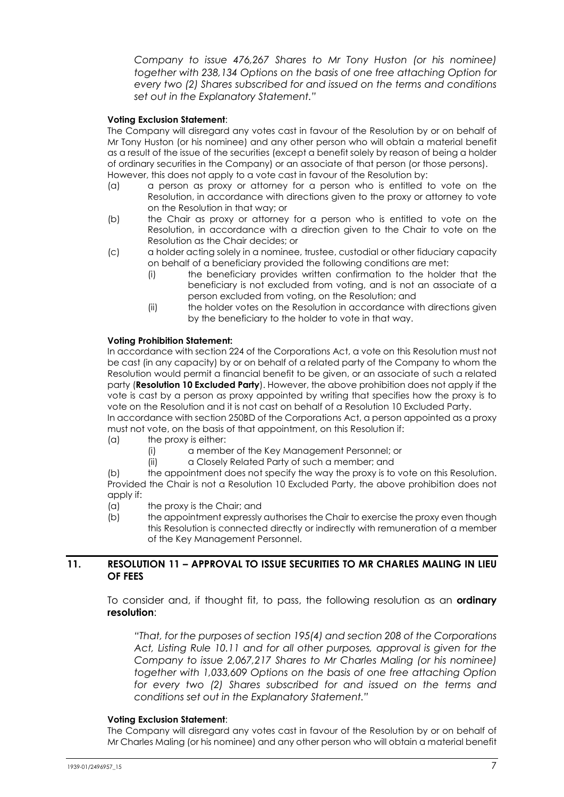*Company to issue 476,267 Shares to Mr Tony Huston (or his nominee) together with 238,134 Options on the basis of one free attaching Option for every two (2) Shares subscribed for and issued on the terms and conditions set out in the Explanatory Statement."*

#### **Voting Exclusion Statement**:

The Company will disregard any votes cast in favour of the Resolution by or on behalf of Mr Tony Huston (or his nominee) and any other person who will obtain a material benefit as a result of the issue of the securities (except a benefit solely by reason of being a holder of ordinary securities in the Company) or an associate of that person (or those persons). However, this does not apply to a vote cast in favour of the Resolution by:

- (a) a person as proxy or attorney for a person who is entitled to vote on the Resolution, in accordance with directions given to the proxy or attorney to vote on the Resolution in that way; or
- (b) the Chair as proxy or attorney for a person who is entitled to vote on the Resolution, in accordance with a direction given to the Chair to vote on the Resolution as the Chair decides; or
- (c) a holder acting solely in a nominee, trustee, custodial or other fiduciary capacity on behalf of a beneficiary provided the following conditions are met:
	- (i) the beneficiary provides written confirmation to the holder that the beneficiary is not excluded from voting, and is not an associate of a person excluded from voting, on the Resolution; and
	- (ii) the holder votes on the Resolution in accordance with directions given by the beneficiary to the holder to vote in that way.

#### **Voting Prohibition Statement:**

In accordance with section 224 of the Corporations Act, a vote on this Resolution must not be cast (in any capacity) by or on behalf of a related party of the Company to whom the Resolution would permit a financial benefit to be given, or an associate of such a related party (**Resolutio[n 10](#page-5-1) Excluded Party**). However, the above prohibition does not apply if the vote is cast by a person as proxy appointed by writing that specifies how the proxy is to vote on the Resolution and it is not cast on behalf of a Resolution [10](#page-5-1) Excluded Party.

In accordance with section 250BD of the Corporations Act, a person appointed as a proxy must not vote, on the basis of that appointment, on this Resolution if:

- (a) the proxy is either:
	- (i) a member of the Key Management Personnel; or
	- (ii) a Closely Related Party of such a member; and

(b) the appointment does not specify the way the proxy is to vote on this Resolution. Provided the Chair is not a Resolution [10](#page-5-1) Excluded Party, the above prohibition does not apply if:

- (a) the proxy is the Chair; and
- (b) the appointment expressly authorises the Chair to exercise the proxy even though this Resolution is connected directly or indirectly with remuneration of a member of the Key Management Personnel.

#### <span id="page-6-0"></span>**11. RESOLUTION 11 – APPROVAL TO ISSUE SECURITIES TO MR CHARLES MALING IN LIEU OF FEES**

<span id="page-6-1"></span>To consider and, if thought fit, to pass, the following resolution as an **ordinary resolution**:

*"That, for the purposes of section 195(4) and section 208 of the Corporations Act, Listing Rule 10.11 and for all other purposes, approval is given for the Company to issue 2,067,217 Shares to Mr Charles Maling (or his nominee) together with 1,033,609 Options on the basis of one free attaching Option for every two (2) Shares subscribed for and issued on the terms and conditions set out in the Explanatory Statement."*

#### **Voting Exclusion Statement**:

The Company will disregard any votes cast in favour of the Resolution by or on behalf of Mr Charles Maling (or his nominee) and any other person who will obtain a material benefit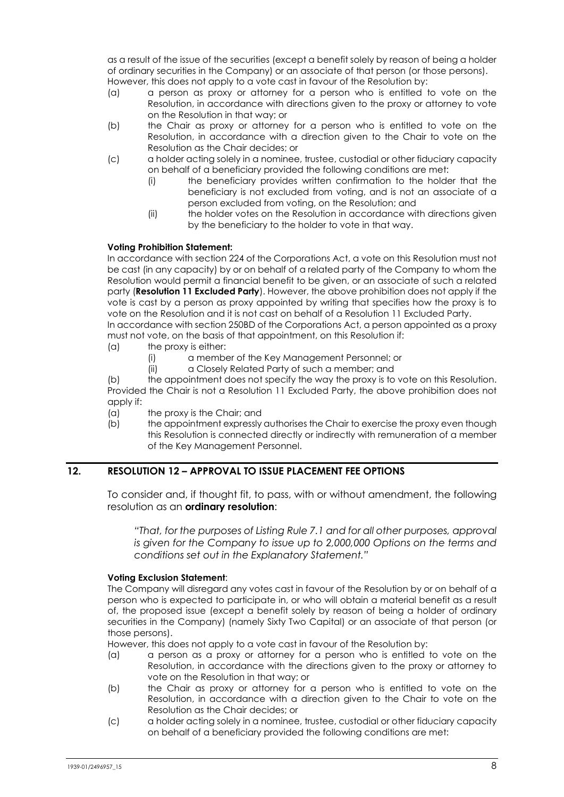as a result of the issue of the securities (except a benefit solely by reason of being a holder of ordinary securities in the Company) or an associate of that person (or those persons). However, this does not apply to a vote cast in favour of the Resolution by:

- (a) a person as proxy or attorney for a person who is entitled to vote on the Resolution, in accordance with directions given to the proxy or attorney to vote on the Resolution in that way; or
- (b) the Chair as proxy or attorney for a person who is entitled to vote on the Resolution, in accordance with a direction given to the Chair to vote on the Resolution as the Chair decides; or
- (c) a holder acting solely in a nominee, trustee, custodial or other fiduciary capacity on behalf of a beneficiary provided the following conditions are met:
	- (i) the beneficiary provides written confirmation to the holder that the beneficiary is not excluded from voting, and is not an associate of a person excluded from voting, on the Resolution; and
	- (ii) the holder votes on the Resolution in accordance with directions given by the beneficiary to the holder to vote in that way.

#### **Voting Prohibition Statement:**

In accordance with section 224 of the Corporations Act, a vote on this Resolution must not be cast (in any capacity) by or on behalf of a related party of the Company to whom the Resolution would permit a financial benefit to be given, or an associate of such a related party (**Resolutio[n 11](#page-6-0) Excluded Party**). However, the above prohibition does not apply if the vote is cast by a person as proxy appointed by writing that specifies how the proxy is to vote on the Resolution and it is not cast on behalf of a Resolution [11](#page-6-0) Excluded Party.

In accordance with section 250BD of the Corporations Act, a person appointed as a proxy must not vote, on the basis of that appointment, on this Resolution if:

- (a) the proxy is either:
	- (i) a member of the Key Management Personnel; or
	- (ii) a Closely Related Party of such a member; and

(b) the appointment does not specify the way the proxy is to vote on this Resolution. Provided the Chair is not a Resolution [11](#page-6-0) Excluded Party, the above prohibition does not apply if:

- (a) the proxy is the Chair; and
- (b) the appointment expressly authorises the Chair to exercise the proxy even though this Resolution is connected directly or indirectly with remuneration of a member of the Key Management Personnel.

### <span id="page-7-0"></span>**12. RESOLUTION 12 – APPROVAL TO ISSUE PLACEMENT FEE OPTIONS**

To consider and, if thought fit, to pass, with or without amendment, the following resolution as an **ordinary resolution**:

*"That, for the purposes of Listing Rule 7.1 and for all other purposes, approval is given for the Company to issue up to 2,000,000 Options on the terms and conditions set out in the Explanatory Statement."*

#### **Voting Exclusion Statement**:

The Company will disregard any votes cast in favour of the Resolution by or on behalf of a person who is expected to participate in, or who will obtain a material benefit as a result of, the proposed issue (except a benefit solely by reason of being a holder of ordinary securities in the Company) (namely Sixty Two Capital) or an associate of that person (or those persons).

However, this does not apply to a vote cast in favour of the Resolution by:

- (a) a person as a proxy or attorney for a person who is entitled to vote on the Resolution, in accordance with the directions given to the proxy or attorney to vote on the Resolution in that way; or
- (b) the Chair as proxy or attorney for a person who is entitled to vote on the Resolution, in accordance with a direction given to the Chair to vote on the Resolution as the Chair decides; or
- (c) a holder acting solely in a nominee, trustee, custodial or other fiduciary capacity on behalf of a beneficiary provided the following conditions are met: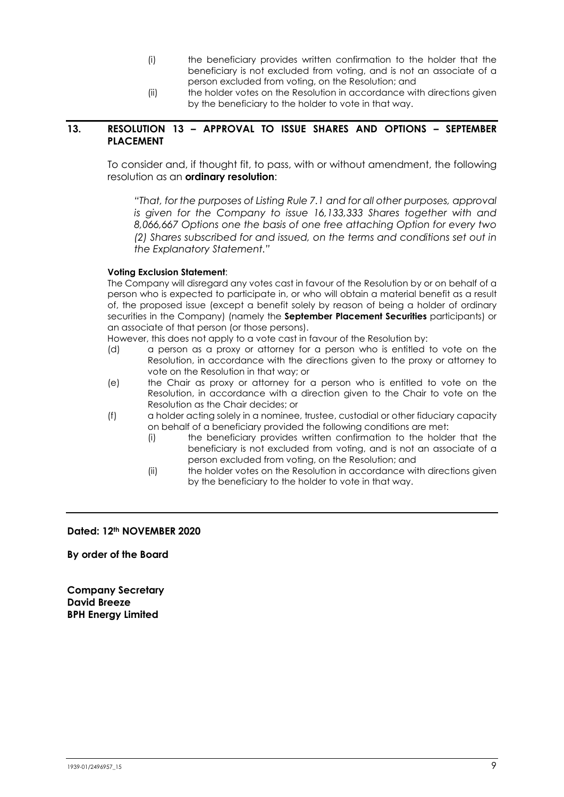- (i) the beneficiary provides written confirmation to the holder that the beneficiary is not excluded from voting, and is not an associate of a person excluded from voting, on the Resolution; and
- (ii) the holder votes on the Resolution in accordance with directions given by the beneficiary to the holder to vote in that way.

#### <span id="page-8-0"></span>**13. RESOLUTION 13 – APPROVAL TO ISSUE SHARES AND OPTIONS – SEPTEMBER PLACEMENT**

To consider and, if thought fit, to pass, with or without amendment, the following resolution as an **ordinary resolution**:

*"That, for the purposes of Listing Rule 7.1 and for all other purposes, approval is given for the Company to issue 16,133,333 Shares together with and 8,066,667 Options one the basis of one free attaching Option for every two (2) Shares subscribed for and issued, on the terms and conditions set out in the Explanatory Statement."*

#### **Voting Exclusion Statement**:

The Company will disregard any votes cast in favour of the Resolution by or on behalf of a person who is expected to participate in, or who will obtain a material benefit as a result of, the proposed issue (except a benefit solely by reason of being a holder of ordinary securities in the Company) (namely the **September Placement Securities** participants) or an associate of that person (or those persons).

However, this does not apply to a vote cast in favour of the Resolution by:

- (d) a person as a proxy or attorney for a person who is entitled to vote on the Resolution, in accordance with the directions given to the proxy or attorney to vote on the Resolution in that way; or
- (e) the Chair as proxy or attorney for a person who is entitled to vote on the Resolution, in accordance with a direction given to the Chair to vote on the Resolution as the Chair decides; or
- (f) a holder acting solely in a nominee, trustee, custodial or other fiduciary capacity on behalf of a beneficiary provided the following conditions are met:
	- (i) the beneficiary provides written confirmation to the holder that the beneficiary is not excluded from voting, and is not an associate of a person excluded from voting, on the Resolution; and
	- (ii) the holder votes on the Resolution in accordance with directions given by the beneficiary to the holder to vote in that way.

#### **Dated: 12th NOVEMBER 2020**

**By order of the Board**

**Company Secretary David Breeze BPH Energy Limited**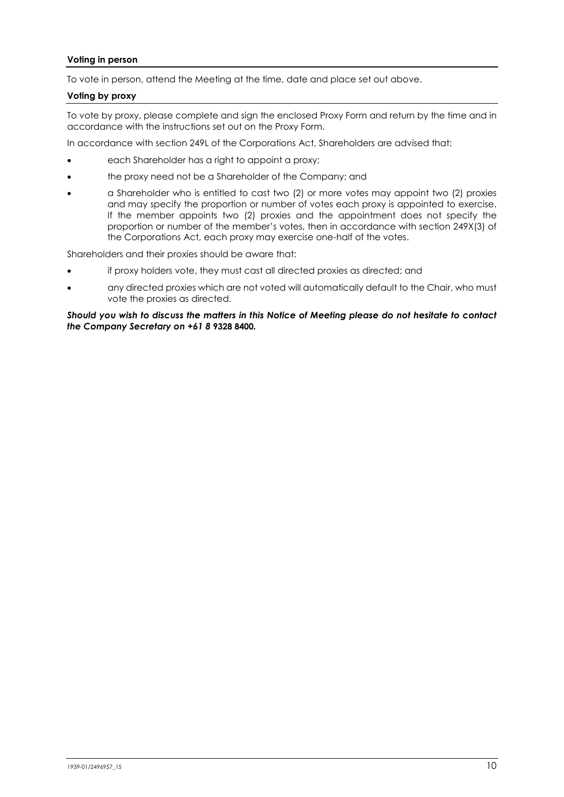#### **Voting in person**

To vote in person, attend the Meeting at the time, date and place set out above.

#### **Voting by proxy**

To vote by proxy, please complete and sign the enclosed Proxy Form and return by the time and in accordance with the instructions set out on the Proxy Form.

In accordance with section 249L of the Corporations Act, Shareholders are advised that:

- each Shareholder has a right to appoint a proxy;
- the proxy need not be a Shareholder of the Company; and
- a Shareholder who is entitled to cast two (2) or more votes may appoint two (2) proxies and may specify the proportion or number of votes each proxy is appointed to exercise. If the member appoints two (2) proxies and the appointment does not specify the proportion or number of the member's votes, then in accordance with section 249X(3) of the Corporations Act, each proxy may exercise one-half of the votes.

Shareholders and their proxies should be aware that:

- if proxy holders vote, they must cast all directed proxies as directed; and
- any directed proxies which are not voted will automatically default to the Chair, who must vote the proxies as directed.

*Should you wish to discuss the matters in this Notice of Meeting please do not hesitate to contact the Company Secretary on +61 8* **9328 8400***.*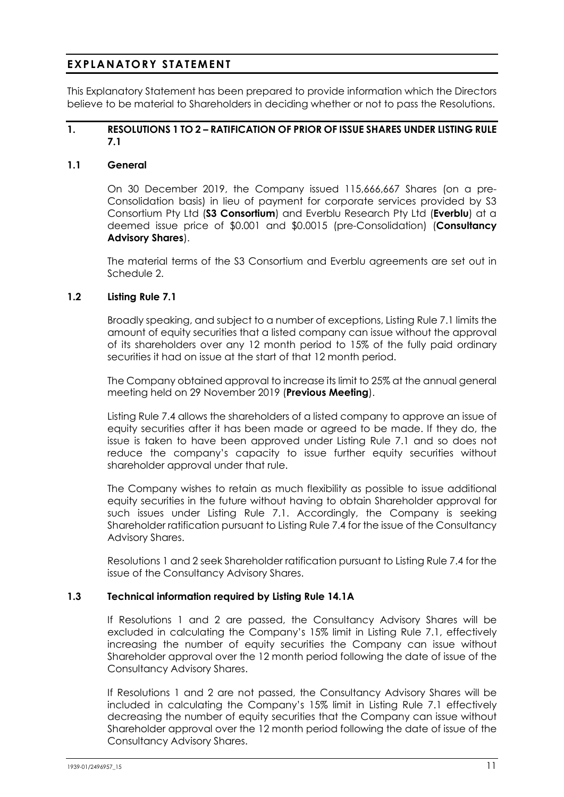# **EXPLANATORY STATEMENT**

This Explanatory Statement has been prepared to provide information which the Directors believe to be material to Shareholders in deciding whether or not to pass the Resolutions.

### **1. RESOLUTION[S 1](#page-1-0) TO [2](#page-1-1) – RATIFICATION OF PRIOR OF ISSUE SHARES UNDER LISTING RULE 7.1**

#### **1.1 General**

On 30 December 2019, the Company issued 115,666,667 Shares (on a pre-Consolidation basis) in lieu of payment for corporate services provided by S3 Consortium Pty Ltd (**S3 Consortium**) and Everblu Research Pty Ltd (**Everblu**) at a deemed issue price of \$0.001 and \$0.0015 (pre-Consolidation) (**Consultancy Advisory Shares**).

The material terms of the S3 Consortium and Everblu agreements are set out in [Schedule 2.](#page-31-0)

#### <span id="page-10-0"></span>**1.2 Listing Rule 7.1**

Broadly speaking, and subject to a number of exceptions, Listing Rule 7.1 limits the amount of equity securities that a listed company can issue without the approval of its shareholders over any 12 month period to 15% of the fully paid ordinary securities it had on issue at the start of that 12 month period.

The Company obtained approval to increase its limit to 25% at the annual general meeting held on 29 November 2019 (**Previous Meeting**).

Listing Rule 7.4 allows the shareholders of a listed company to approve an issue of equity securities after it has been made or agreed to be made. If they do, the issue is taken to have been approved under Listing Rule 7.1 and so does not reduce the company's capacity to issue further equity securities without shareholder approval under that rule.

The Company wishes to retain as much flexibility as possible to issue additional equity securities in the future without having to obtain Shareholder approval for such issues under Listing Rule 7.1. Accordingly, the Company is seeking Shareholder ratification pursuant to Listing Rule 7.4 for the issue of the Consultancy Advisory Shares.

Resolution[s 1](#page-1-0) and [2](#page-1-1) seek Shareholder ratification pursuant to Listing Rule 7.4 for the issue of the Consultancy Advisory Shares.

#### **1.3 Technical information required by Listing Rule 14.1A**

If Resolutions [1](#page-1-0) and [2](#page-1-1) are passed, the Consultancy Advisory Shares will be excluded in calculating the Company's 15% limit in Listing Rule 7.1, effectively increasing the number of equity securities the Company can issue without Shareholder approval over the 12 month period following the date of issue of the Consultancy Advisory Shares.

If Resolutions [1](#page-1-0) and [2](#page-1-1) are not passed, the Consultancy Advisory Shares will be included in calculating the Company's 15% limit in Listing Rule 7.1 effectively decreasing the number of equity securities that the Company can issue without Shareholder approval over the 12 month period following the date of issue of the Consultancy Advisory Shares.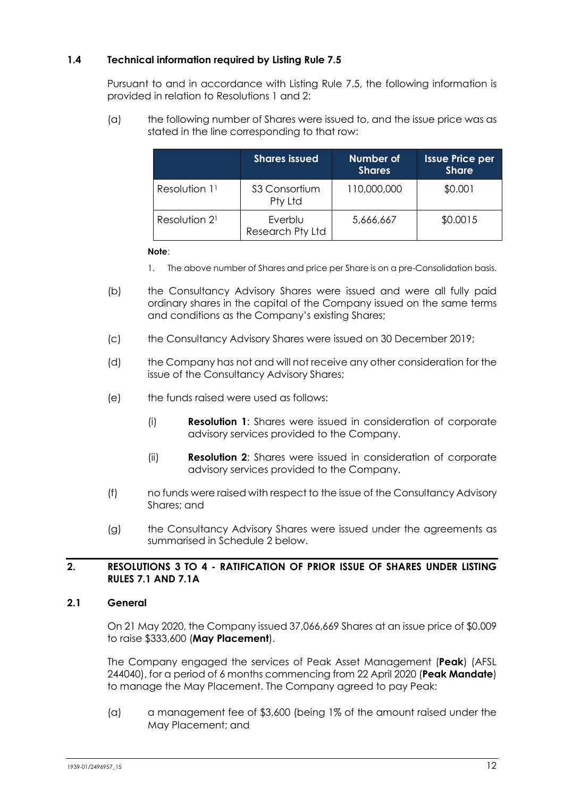# **1.4 Technical information required by Listing Rule 7.5**

Pursuant to and in accordance with Listing Rule 7.5, the following information is provided in relation to Resolutions [1](#page-1-0) and [2:](#page-1-1)

(a) the following number of Shares were issued to, and the issue price was as stated in the line corresponding to that row:

|                           | <b>Shares issued</b>        | Number of<br><b>Shares</b> | Issue Price per<br><b>Share</b> |
|---------------------------|-----------------------------|----------------------------|---------------------------------|
| Resolution 11             | \$3 Consortium<br>Pty Ltd   | 110,000,000                | \$0.001                         |
| Resolution 2 <sup>1</sup> | Everblu<br>Research Pty Ltd | 5,666,667                  | \$0.0015                        |

#### **Note**:

- 1. The above number of Shares and price per Share is on a pre-Consolidation basis.
- (b) the Consultancy Advisory Shares were issued and were all fully paid ordinary shares in the capital of the Company issued on the same terms and conditions as the Company's existing Shares;
- (c) the Consultancy Advisory Shares were issued on 30 December 2019;
- (d) the Company has not and will not receive any other consideration for the issue of the Consultancy Advisory Shares;
- (e) the funds raised were used as follows:
	- (i) **Resolution [1](#page-1-0)**: Shares were issued in consideration of corporate advisory services provided to the Company.
	- (ii) **Resolution [2](#page-1-1)**: Shares were issued in consideration of corporate advisory services provided to the Company.
- (f) no funds were raised with respect to the issue of the Consultancy Advisory Shares; and
- (g) the Consultancy Advisory Shares were issued under the agreements as summarised in [Schedule 2](#page-31-0) below.

#### **2. RESOLUTIONS [3](#page-2-0) TO [4](#page-2-1) - RATIFICATION OF PRIOR ISSUE OF SHARES UNDER LISTING RULES 7.1 AND 7.1A**

#### **2.1 General**

On 21 May 2020, the Company issued 37,066,669 Shares at an issue price of \$0.009 to raise \$333,600 (**May Placement**).

The Company engaged the services of Peak Asset Management (**Peak**) (AFSL 244040), for a period of 6 months commencing from 22 April 2020 (**Peak Mandate**) to manage the May Placement. The Company agreed to pay Peak:

(a) a management fee of \$3,600 (being 1% of the amount raised under the May Placement; and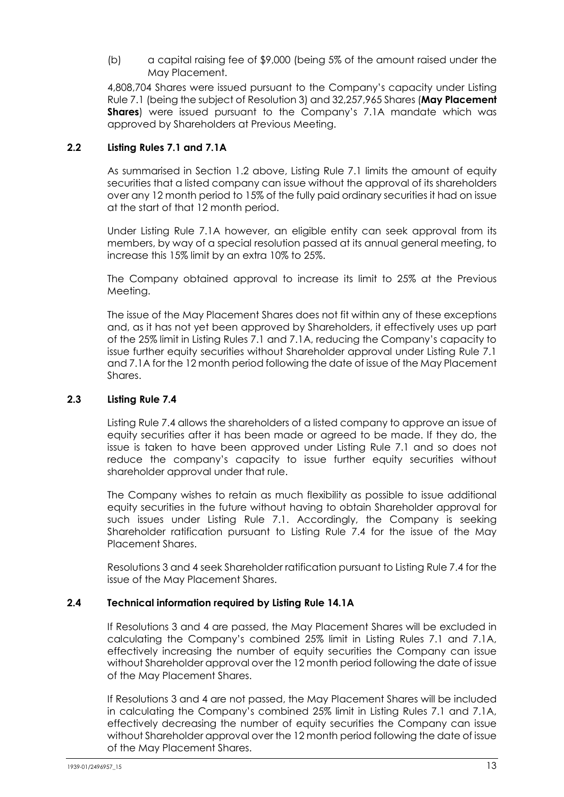### (b) a capital raising fee of \$9,000 (being 5% of the amount raised under the May Placement.

4,808,704 Shares were issued pursuant to the Company's capacity under Listing Rule 7.1 (being the subject of Resolutio[n 3\)](#page-2-0) and 32,257,965 Shares (**May Placement Shares**) were issued pursuant to the Company's 7.1A mandate which was approved by Shareholders at Previous Meeting.

### **2.2 Listing Rules 7.1 and 7.1A**

As summarised in Section [1.2](#page-10-0) above, Listing Rule 7.1 limits the amount of equity securities that a listed company can issue without the approval of its shareholders over any 12 month period to 15% of the fully paid ordinary securities it had on issue at the start of that 12 month period.

Under Listing Rule 7.1A however, an eligible entity can seek approval from its members, by way of a special resolution passed at its annual general meeting, to increase this 15% limit by an extra 10% to 25%.

The Company obtained approval to increase its limit to 25% at the Previous Meeting.

The issue of the May Placement Shares does not fit within any of these exceptions and, as it has not yet been approved by Shareholders, it effectively uses up part of the 25% limit in Listing Rules 7.1 and 7.1A, reducing the Company's capacity to issue further equity securities without Shareholder approval under Listing Rule 7.1 and 7.1A for the 12 month period following the date of issue of the May Placement Shares.

### **2.3 Listing Rule 7.4**

Listing Rule 7.4 allows the shareholders of a listed company to approve an issue of equity securities after it has been made or agreed to be made. If they do, the issue is taken to have been approved under Listing Rule 7.1 and so does not reduce the company's capacity to issue further equity securities without shareholder approval under that rule.

The Company wishes to retain as much flexibility as possible to issue additional equity securities in the future without having to obtain Shareholder approval for such issues under Listing Rule 7.1. Accordingly, the Company is seeking Shareholder ratification pursuant to Listing Rule 7.4 for the issue of the May Placement Shares.

Resolutions [3](#page-2-0) and [4](#page-2-1) seek Shareholder ratification pursuant to Listing Rule 7.4 for the issue of the May Placement Shares.

### **2.4 Technical information required by Listing Rule 14.1A**

If Resolutions [3](#page-2-0) and [4](#page-2-1) are passed, the May Placement Shares will be excluded in calculating the Company's combined 25% limit in Listing Rules 7.1 and 7.1A, effectively increasing the number of equity securities the Company can issue without Shareholder approval over the 12 month period following the date of issue of the May Placement Shares.

If Resolutions [3](#page-2-0) and [4](#page-2-1) are not passed, the May Placement Shares will be included in calculating the Company's combined 25% limit in Listing Rules 7.1 and 7.1A, effectively decreasing the number of equity securities the Company can issue without Shareholder approval over the 12 month period following the date of issue of the May Placement Shares.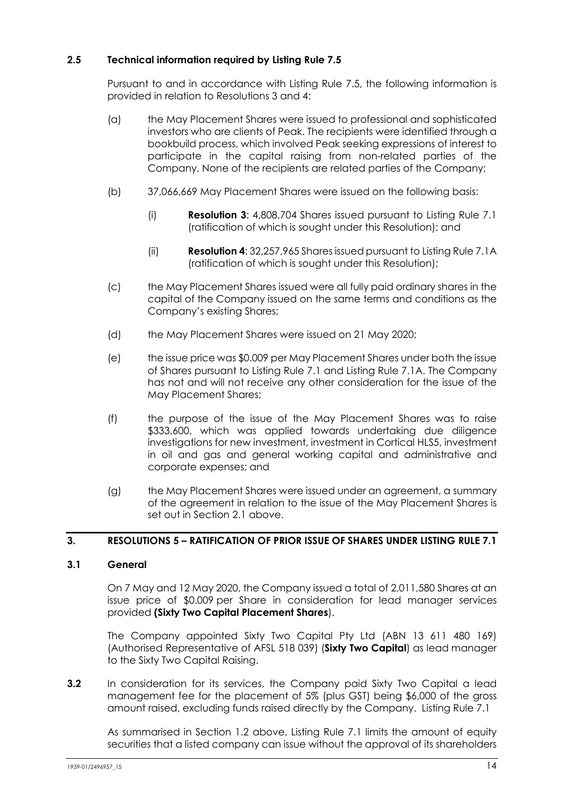# **2.5 Technical information required by Listing Rule 7.5**

Pursuant to and in accordance with Listing Rule 7.5, the following information is provided in relation to Resolutions [3](#page-2-0) and [4:](#page-2-1)

- (a) the May Placement Shares were issued to professional and sophisticated investors who are clients of Peak. The recipients were identified through a bookbuild process, which involved Peak seeking expressions of interest to participate in the capital raising from non-related parties of the Company. None of the recipients are related parties of the Company;
- (b) 37,066,669 May Placement Shares were issued on the following basis:
	- (i) **Resolution [3](#page-2-0)**: 4,808,704 Shares issued pursuant to Listing Rule 7.1 (ratification of which is sought under this Resolution); and
	- (ii) **Resolutio[n 4](#page-2-1)**: 32,257,965 Shares issued pursuant to Listing Rule 7.1A (ratification of which is sought under this Resolution);
- (c) the May Placement Shares issued were all fully paid ordinary shares in the capital of the Company issued on the same terms and conditions as the Company's existing Shares;
- (d) the May Placement Shares were issued on 21 May 2020;
- (e) the issue price was \$0.009 per May Placement Shares under both the issue of Shares pursuant to Listing Rule 7.1 and Listing Rule 7.1A. The Company has not and will not receive any other consideration for the issue of the May Placement Shares;
- (f) the purpose of the issue of the May Placement Shares was to raise \$333,600, which was applied towards undertaking due diligence investigations for new investment, investment in Cortical HLS5, investment in oil and gas and general working capital and administrative and corporate expenses; and
- (g) the May Placement Shares were issued under an agreement, a summary of the agreement in relation to the issue of the May Placement Shares is set out in Section 2.1 above.

# **3. RESOLUTIONS [5](#page-3-0) – RATIFICATION OF PRIOR ISSUE OF SHARES UNDER LISTING RULE 7.1**

### **3.1 General**

On 7 May and 12 May 2020, the Company issued a total of 2,011,580 Shares at an issue price of \$0.009 per Share in consideration for lead manager services provided **(Sixty Two Capital Placement Shares**).

The Company appointed Sixty Two Capital Pty Ltd (ABN 13 611 480 169) (Authorised Representative of AFSL 518 039) (**Sixty Two Capital**) as lead manager to the Sixty Two Capital Raising.

**3.2** In consideration for its services, the Company paid Sixty Two Capital a lead management fee for the placement of 5% (plus GST) being \$6,000 of the gross amount raised, excluding funds raised directly by the Company. Listing Rule 7.1

<span id="page-13-0"></span>As summarised in Section [1.2](#page-10-0) above, Listing Rule 7.1 limits the amount of equity securities that a listed company can issue without the approval of its shareholders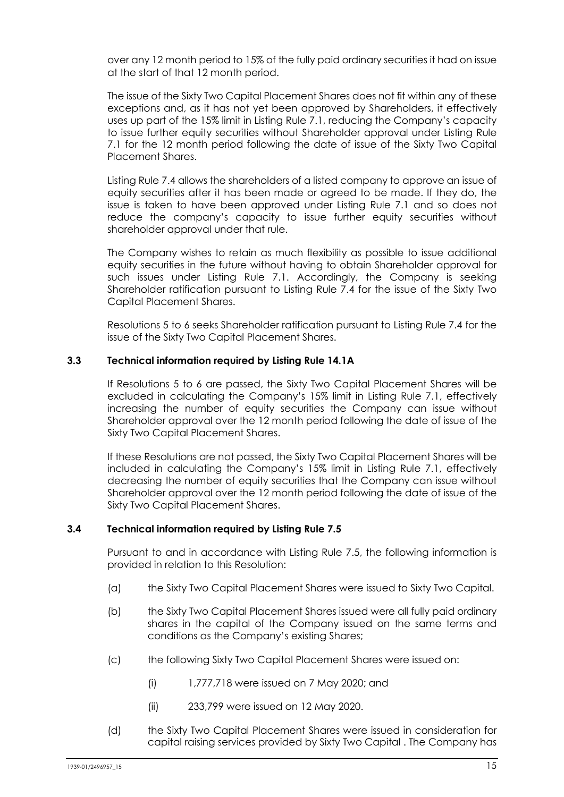over any 12 month period to 15% of the fully paid ordinary securities it had on issue at the start of that 12 month period.

The issue of the Sixty Two Capital Placement Shares does not fit within any of these exceptions and, as it has not yet been approved by Shareholders, it effectively uses up part of the 15% limit in Listing Rule 7.1, reducing the Company's capacity to issue further equity securities without Shareholder approval under Listing Rule 7.1 for the 12 month period following the date of issue of the Sixty Two Capital Placement Shares.

Listing Rule 7.4 allows the shareholders of a listed company to approve an issue of equity securities after it has been made or agreed to be made. If they do, the issue is taken to have been approved under Listing Rule 7.1 and so does not reduce the company's capacity to issue further equity securities without shareholder approval under that rule.

The Company wishes to retain as much flexibility as possible to issue additional equity securities in the future without having to obtain Shareholder approval for such issues under Listing Rule 7.1. Accordingly, the Company is seeking Shareholder ratification pursuant to Listing Rule 7.4 for the issue of the Sixty Two Capital Placement Shares.

Resolutions [5](#page-3-1) to [6](#page-3-2) seeks Shareholder ratification pursuant to Listing Rule 7.4 for the issue of the Sixty Two Capital Placement Shares.

### **3.3 Technical information required by Listing Rule 14.1A**

If Resolutions 5 to 6 are passed, the Sixty Two Capital Placement Shares will be excluded in calculating the Company's 15% limit in Listing Rule 7.1, effectively increasing the number of equity securities the Company can issue without Shareholder approval over the 12 month period following the date of issue of the Sixty Two Capital Placement Shares.

If these Resolutions are not passed, the Sixty Two Capital Placement Shares will be included in calculating the Company's 15% limit in Listing Rule 7.1, effectively decreasing the number of equity securities that the Company can issue without Shareholder approval over the 12 month period following the date of issue of the Sixty Two Capital Placement Shares.

### **3.4 Technical information required by Listing Rule 7.5**

Pursuant to and in accordance with Listing Rule 7.5, the following information is provided in relation to this Resolution:

- (a) the Sixty Two Capital Placement Shares were issued to Sixty Two Capital.
- (b) the Sixty Two Capital Placement Shares issued were all fully paid ordinary shares in the capital of the Company issued on the same terms and conditions as the Company's existing Shares;
- (c) the following Sixty Two Capital Placement Shares were issued on:
	- (i) 1,777,718 were issued on 7 May 2020; and
	- (ii) 233,799 were issued on 12 May 2020.
- (d) the Sixty Two Capital Placement Shares were issued in consideration for capital raising services provided by Sixty Two Capital . The Company has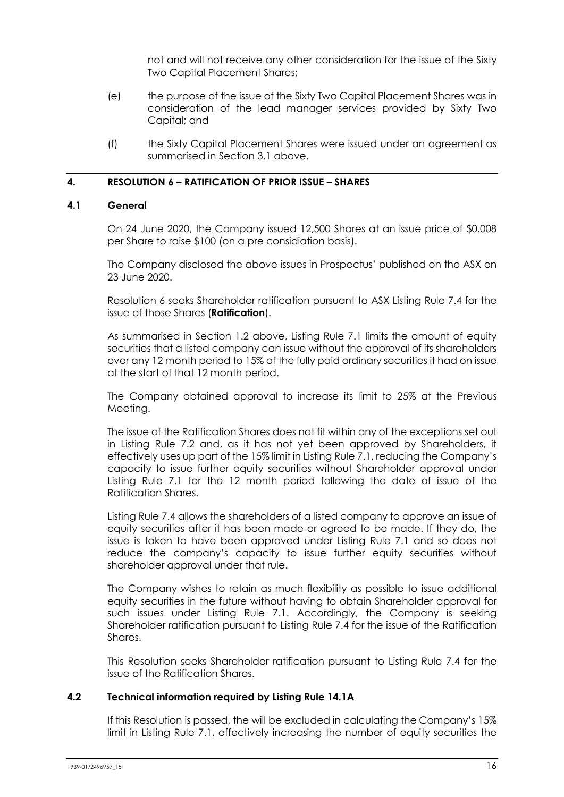not and will not receive any other consideration for the issue of the Sixty Two Capital Placement Shares;

- (e) the purpose of the issue of the Sixty Two Capital Placement Shares was in consideration of the lead manager services provided by Sixty Two Capital; and
- (f) the Sixty Capital Placement Shares were issued under an agreement as summarised in Section 3.1 above.

### **4. RESOLUTION [6](#page-3-3) – RATIFICATION OF PRIOR ISSUE – SHARES**

#### **4.1 General**

On 24 June 2020, the Company issued 12,500 Shares at an issue price of \$0.008 per Share to raise \$100 (on a pre considiation basis).

The Company disclosed the above issues in Prospectus' published on the ASX on 23 June 2020.

Resolution [6](#page-3-3) seeks Shareholder ratification pursuant to ASX Listing Rule 7.4 for the issue of those Shares (**Ratification**).

As summarised in Section [1.2](#page-10-0) above, Listing Rule 7.1 limits the amount of equity securities that a listed company can issue without the approval of its shareholders over any 12 month period to 15% of the fully paid ordinary securities it had on issue at the start of that 12 month period.

The Company obtained approval to increase its limit to 25% at the Previous Meeting.

The issue of the Ratification Shares does not fit within any of the exceptions set out in Listing Rule 7.2 and, as it has not yet been approved by Shareholders, it effectively uses up part of the 15% limit in Listing Rule 7.1, reducing the Company's capacity to issue further equity securities without Shareholder approval under Listing Rule 7.1 for the 12 month period following the date of issue of the Ratification Shares.

Listing Rule 7.4 allows the shareholders of a listed company to approve an issue of equity securities after it has been made or agreed to be made. If they do, the issue is taken to have been approved under Listing Rule 7.1 and so does not reduce the company's capacity to issue further equity securities without shareholder approval under that rule.

The Company wishes to retain as much flexibility as possible to issue additional equity securities in the future without having to obtain Shareholder approval for such issues under Listing Rule 7.1. Accordingly, the Company is seeking Shareholder ratification pursuant to Listing Rule 7.4 for the issue of the Ratification Shares.

This Resolution seeks Shareholder ratification pursuant to Listing Rule 7.4 for the issue of the Ratification Shares.

#### **4.2 Technical information required by Listing Rule 14.1A**

If this Resolution is passed, the will be excluded in calculating the Company's 15% limit in Listing Rule 7.1, effectively increasing the number of equity securities the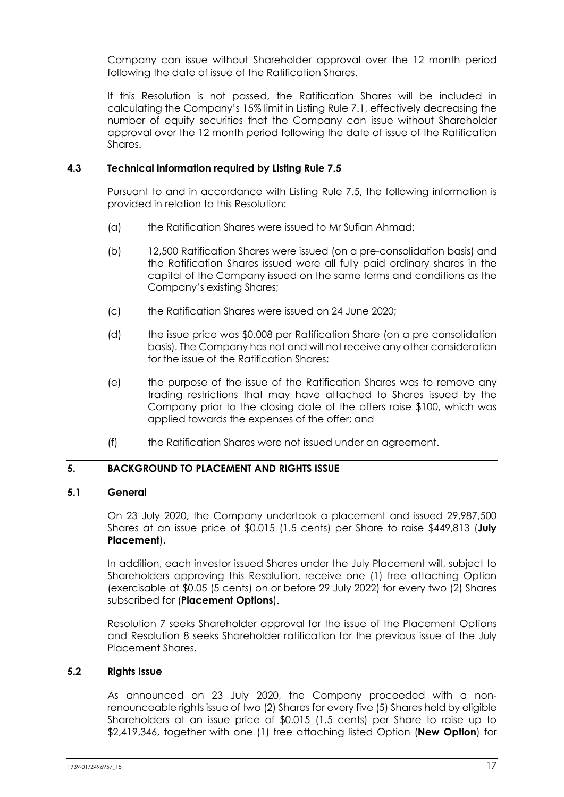Company can issue without Shareholder approval over the 12 month period following the date of issue of the Ratification Shares.

If this Resolution is not passed, the Ratification Shares will be included in calculating the Company's 15% limit in Listing Rule 7.1, effectively decreasing the number of equity securities that the Company can issue without Shareholder approval over the 12 month period following the date of issue of the Ratification **Shares** 

### **4.3 Technical information required by Listing Rule 7.5**

Pursuant to and in accordance with Listing Rule 7.5, the following information is provided in relation to this Resolution:

- (a) the Ratification Shares were issued to Mr Sufian Ahmad;
- (b) 12,500 Ratification Shares were issued (on a pre-consolidation basis) and the Ratification Shares issued were all fully paid ordinary shares in the capital of the Company issued on the same terms and conditions as the Company's existing Shares;
- (c) the Ratification Shares were issued on 24 June 2020;
- (d) the issue price was \$0.008 per Ratification Share (on a pre consolidation basis). The Company has not and will not receive any other consideration for the issue of the Ratification Shares;
- (e) the purpose of the issue of the Ratification Shares was to remove any trading restrictions that may have attached to Shares issued by the Company prior to the closing date of the offers raise \$100, which was applied towards the expenses of the offer; and
- (f) the Ratification Shares were not issued under an agreement.

# **5. BACKGROUND TO PLACEMENT AND RIGHTS ISSUE**

### <span id="page-16-0"></span>**5.1 General**

On 23 July 2020, the Company undertook a placement and issued 29,987,500 Shares at an issue price of \$0.015 (1.5 cents) per Share to raise \$449,813 (**July Placement**).

In addition, each investor issued Shares under the July Placement will, subject to Shareholders approving this Resolution, receive one (1) free attaching Option (exercisable at \$0.05 (5 cents) on or before 29 July 2022) for every two (2) Shares subscribed for (**Placement Options**).

Resolution [7](#page-4-0) seeks Shareholder approval for the issue of the Placement Options and Resolution 8 seeks Shareholder ratification for the previous issue of the July Placement Shares.

### **5.2 Rights Issue**

As announced on 23 July 2020, the Company proceeded with a nonrenounceable rights issue of two (2) Shares for every five (5) Shares held by eligible Shareholders at an issue price of \$0.015 (1.5 cents) per Share to raise up to \$2,419,346, together with one (1) free attaching listed Option (**New Option**) for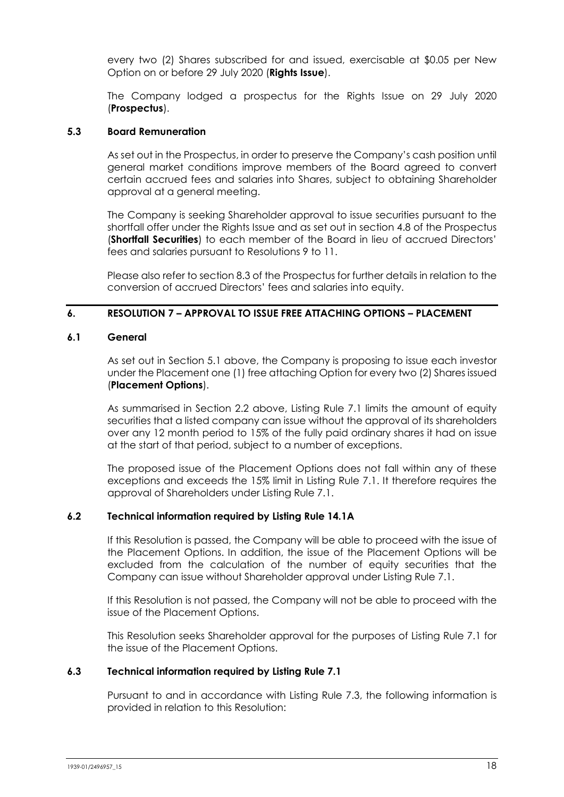every two (2) Shares subscribed for and issued, exercisable at \$0.05 per New Option on or before 29 July 2020 (**Rights Issue**).

The Company lodged a prospectus for the Rights Issue on 29 July 2020 (**Prospectus**).

### **5.3 Board Remuneration**

As set out in the Prospectus, in order to preserve the Company's cash position until general market conditions improve members of the Board agreed to convert certain accrued fees and salaries into Shares, subject to obtaining Shareholder approval at a general meeting.

The Company is seeking Shareholder approval to issue securities pursuant to the shortfall offer under the Rights Issue and as set out in section 4.8 of the Prospectus (**Shortfall Securities**) to each member of the Board in lieu of accrued Directors' fees and salaries pursuant to Resolutions [9](#page-5-2) to [11.](#page-6-1)

Please also refer to section 8.3 of the Prospectus for further details in relation to the conversion of accrued Directors' fees and salaries into equity.

### **6. RESOLUTION [7](#page-4-0) – APPROVAL TO ISSUE FREE ATTACHING OPTIONS – PLACEMENT**

#### **6.1 General**

As set out in Section [5.1](#page-16-0) above, the Company is proposing to issue each investor under the Placement one (1) free attaching Option for every two (2) Shares issued (**Placement Options**).

As summarised in Section 2.2 above, Listing Rule 7.1 limits the amount of equity securities that a listed company can issue without the approval of its shareholders over any 12 month period to 15% of the fully paid ordinary shares it had on issue at the start of that period, subject to a number of exceptions.

The proposed issue of the Placement Options does not fall within any of these exceptions and exceeds the 15% limit in Listing Rule 7.1. It therefore requires the approval of Shareholders under Listing Rule 7.1.

### **6.2 Technical information required by Listing Rule 14.1A**

If this Resolution is passed, the Company will be able to proceed with the issue of the Placement Options. In addition, the issue of the Placement Options will be excluded from the calculation of the number of equity securities that the Company can issue without Shareholder approval under Listing Rule 7.1.

If this Resolution is not passed, the Company will not be able to proceed with the issue of the Placement Options.

This Resolution seeks Shareholder approval for the purposes of Listing Rule 7.1 for the issue of the Placement Options.

### **6.3 Technical information required by Listing Rule 7.1**

Pursuant to and in accordance with Listing Rule 7.3, the following information is provided in relation to this Resolution: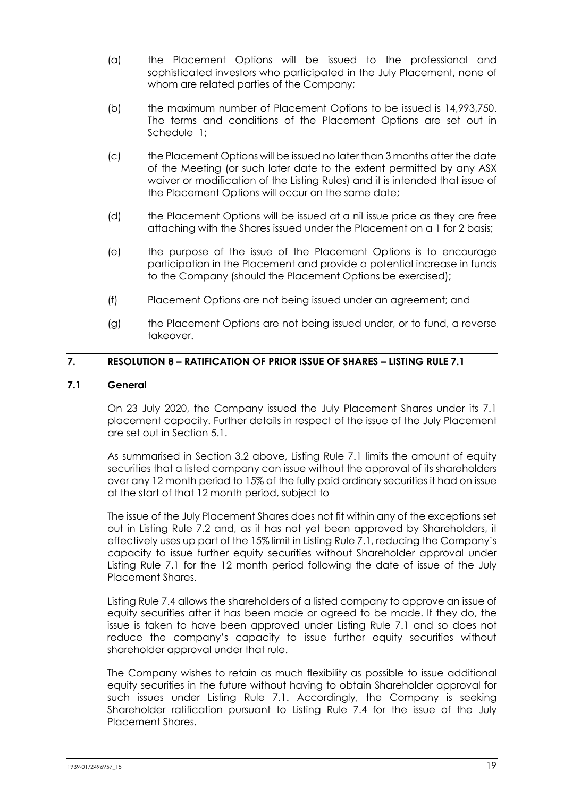- (a) the Placement Options will be issued to the professional and sophisticated investors who participated in the July Placement, none of whom are related parties of the Company;
- (b) the maximum number of Placement Options to be issued is 14,993,750. The terms and conditions of the Placement Options are set out in Schedule [1;](#page-29-0)
- (c) the Placement Options will be issued no later than 3 months after the date of the Meeting (or such later date to the extent permitted by any ASX waiver or modification of the Listing Rules) and it is intended that issue of the Placement Options will occur on the same date;
- (d) the Placement Options will be issued at a nil issue price as they are free attaching with the Shares issued under the Placement on a 1 for 2 basis;
- (e) the purpose of the issue of the Placement Options is to encourage participation in the Placement and provide a potential increase in funds to the Company (should the Placement Options be exercised);
- (f) Placement Options are not being issued under an agreement; and
- (g) the Placement Options are not being issued under, or to fund, a reverse takeover.

# **7. RESOLUTION [8](#page-4-1) – RATIFICATION OF PRIOR ISSUE OF SHARES – LISTING RULE 7.1**

#### **7.1 General**

On 23 July 2020, the Company issued the July Placement Shares under its 7.1 placement capacity. Further details in respect of the issue of the July Placement are set out in Section [5.1.](#page-16-0)

As summarised in Section [3.2](#page-13-0) above, Listing Rule 7.1 limits the amount of equity securities that a listed company can issue without the approval of its shareholders over any 12 month period to 15% of the fully paid ordinary securities it had on issue at the start of that 12 month period, subject to

The issue of the July Placement Shares does not fit within any of the exceptions set out in Listing Rule 7.2 and, as it has not yet been approved by Shareholders, it effectively uses up part of the 15% limit in Listing Rule 7.1, reducing the Company's capacity to issue further equity securities without Shareholder approval under Listing Rule 7.1 for the 12 month period following the date of issue of the July Placement Shares.

Listing Rule 7.4 allows the shareholders of a listed company to approve an issue of equity securities after it has been made or agreed to be made. If they do, the issue is taken to have been approved under Listing Rule 7.1 and so does not reduce the company's capacity to issue further equity securities without shareholder approval under that rule.

The Company wishes to retain as much flexibility as possible to issue additional equity securities in the future without having to obtain Shareholder approval for such issues under Listing Rule 7.1. Accordingly, the Company is seeking Shareholder ratification pursuant to Listing Rule 7.4 for the issue of the July Placement Shares.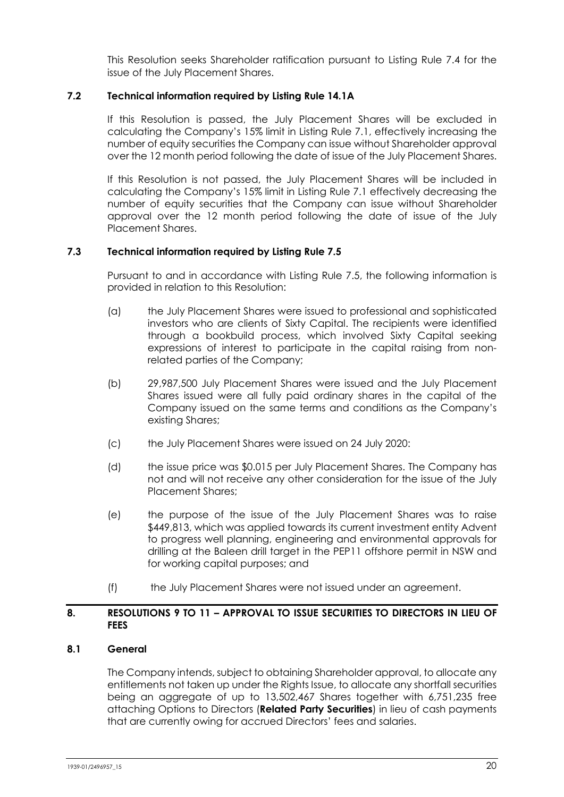This Resolution seeks Shareholder ratification pursuant to Listing Rule 7.4 for the issue of the July Placement Shares.

### **7.2 Technical information required by Listing Rule 14.1A**

If this Resolution is passed, the July Placement Shares will be excluded in calculating the Company's 15% limit in Listing Rule 7.1, effectively increasing the number of equity securities the Company can issue without Shareholder approval over the 12 month period following the date of issue of the July Placement Shares.

If this Resolution is not passed, the July Placement Shares will be included in calculating the Company's 15% limit in Listing Rule 7.1 effectively decreasing the number of equity securities that the Company can issue without Shareholder approval over the 12 month period following the date of issue of the July Placement Shares.

### **7.3 Technical information required by Listing Rule 7.5**

Pursuant to and in accordance with Listing Rule 7.5, the following information is provided in relation to this Resolution:

- (a) the July Placement Shares were issued to professional and sophisticated investors who are clients of Sixty Capital. The recipients were identified through a bookbuild process, which involved Sixty Capital seeking expressions of interest to participate in the capital raising from nonrelated parties of the Company;
- (b) 29,987,500 July Placement Shares were issued and the July Placement Shares issued were all fully paid ordinary shares in the capital of the Company issued on the same terms and conditions as the Company's existing Shares;
- (c) the July Placement Shares were issued on 24 July 2020:
- (d) the issue price was \$0.015 per July Placement Shares. The Company has not and will not receive any other consideration for the issue of the July Placement Shares;
- (e) the purpose of the issue of the July Placement Shares was to raise \$449,813, which was applied towards its current investment entity Advent to progress well planning, engineering and environmental approvals for drilling at the Baleen drill target in the PEP11 offshore permit in NSW and for working capital purposes; and
- (f) the July Placement Shares were not issued under an agreement.

### **8. RESOLUTIONS [9](#page-5-0) TO [11](#page-6-0) – APPROVAL TO ISSUE SECURITIES TO DIRECTORS IN LIEU OF FEES**

### <span id="page-19-0"></span>**8.1 General**

The Company intends, subject to obtaining Shareholder approval, to allocate any entitlements not taken up under the Rights Issue, to allocate any shortfall securities being an aggregate of up to 13,502,467 Shares together with 6,751,235 free attaching Options to Directors (**Related Party Securities**) in lieu of cash payments that are currently owing for accrued Directors' fees and salaries.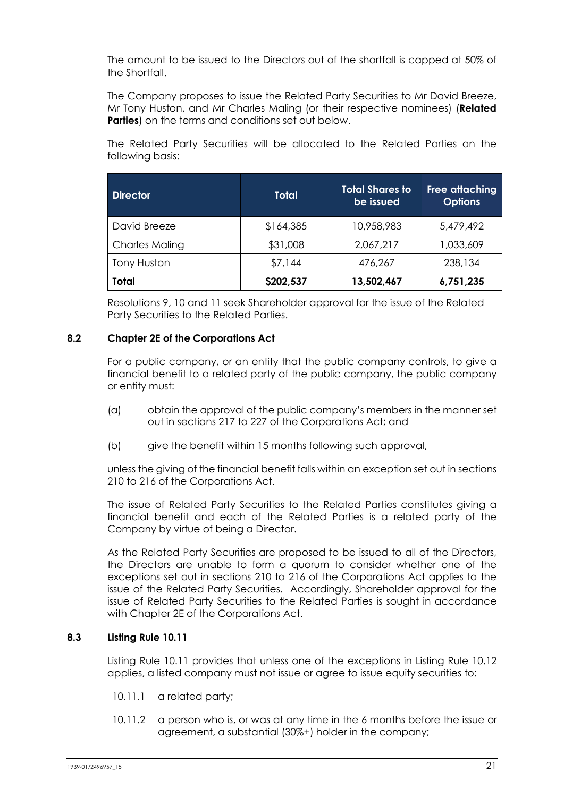The amount to be issued to the Directors out of the shortfall is capped at 50% of the Shortfall.

The Company proposes to issue the Related Party Securities to Mr David Breeze, Mr Tony Huston, and Mr Charles Maling (or their respective nominees) (**Related Parties**) on the terms and conditions set out below.

The Related Party Securities will be allocated to the Related Parties on the following basis:

| <b>Director</b>       | <b>Total</b> | <b>Total Shares to</b><br>be issued | Free attaching<br><b>Options</b> |
|-----------------------|--------------|-------------------------------------|----------------------------------|
| David Breeze          | \$164,385    | 10,958,983                          | 5,479,492                        |
| <b>Charles Maling</b> | \$31,008     | 2,067,217                           | 1,033,609                        |
| Tony Huston           | \$7,144      | 476,267                             | 238,134                          |
| <b>Total</b>          | \$202,537    | 13,502,467                          | 6,751,235                        |

Resolutions [9,](#page-5-0) [10](#page-5-1) and [11](#page-6-0) seek Shareholder approval for the issue of the Related Party Securities to the Related Parties.

### **8.2 Chapter 2E of the Corporations Act**

For a public company, or an entity that the public company controls, to give a financial benefit to a related party of the public company, the public company or entity must:

- (a) obtain the approval of the public company's members in the manner set out in sections 217 to 227 of the Corporations Act; and
- (b) give the benefit within 15 months following such approval,

unless the giving of the financial benefit falls within an exception set out in sections 210 to 216 of the Corporations Act.

The issue of Related Party Securities to the Related Parties constitutes giving a financial benefit and each of the Related Parties is a related party of the Company by virtue of being a Director.

As the Related Party Securities are proposed to be issued to all of the Directors, the Directors are unable to form a quorum to consider whether one of the exceptions set out in sections 210 to 216 of the Corporations Act applies to the issue of the Related Party Securities. Accordingly, Shareholder approval for the issue of Related Party Securities to the Related Parties is sought in accordance with Chapter 2E of the Corporations Act.

# **8.3 Listing Rule 10.11**

Listing Rule 10.11 provides that unless one of the exceptions in Listing Rule 10.12 applies, a listed company must not issue or agree to issue equity securities to:

- 10.11.1 a related party;
- 10.11.2 a person who is, or was at any time in the 6 months before the issue or agreement, a substantial (30%+) holder in the company;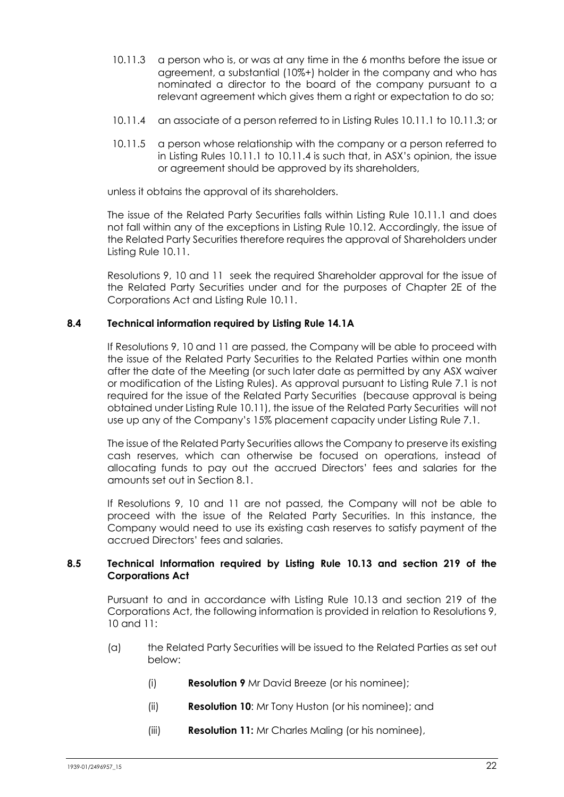- 10.11.3 a person who is, or was at any time in the 6 months before the issue or agreement, a substantial (10%+) holder in the company and who has nominated a director to the board of the company pursuant to a relevant agreement which gives them a right or expectation to do so;
- 10.11.4 an associate of a person referred to in Listing Rules 10.11.1 to 10.11.3; or
- 10.11.5 a person whose relationship with the company or a person referred to in Listing Rules 10.11.1 to 10.11.4 is such that, in ASX's opinion, the issue or agreement should be approved by its shareholders,

unless it obtains the approval of its shareholders.

The issue of the Related Party Securities falls within Listing Rule 10.11.1 and does not fall within any of the exceptions in Listing Rule 10.12. Accordingly, the issue of the Related Party Securities therefore requires the approval of Shareholders under Listing Rule 10.11.

Resolutions [9,](#page-5-0) [10](#page-5-1) and [11](#page-6-0) seek the required Shareholder approval for the issue of the Related Party Securities under and for the purposes of Chapter 2E of the Corporations Act and Listing Rule 10.11.

#### **8.4 Technical information required by Listing Rule 14.1A**

If Resolutions [9,](#page-5-0) [10](#page-5-1) and [11](#page-6-0) are passed, the Company will be able to proceed with the issue of the Related Party Securities to the Related Parties within one month after the date of the Meeting (or such later date as permitted by any ASX waiver or modification of the Listing Rules). As approval pursuant to Listing Rule 7.1 is not required for the issue of the Related Party Securities (because approval is being obtained under Listing Rule 10.11), the issue of the Related Party Securities will not use up any of the Company's 15% placement capacity under Listing Rule 7.1.

The issue of the Related Party Securities allows the Company to preserve its existing cash reserves, which can otherwise be focused on operations, instead of allocating funds to pay out the accrued Directors' fees and salaries for the amounts set out in Section [8.1.](#page-19-0)

If Resolutions [9,](#page-5-0) [10](#page-5-1) and [11](#page-6-0) are not passed, the Company will not be able to proceed with the issue of the Related Party Securities. In this instance, the Company would need to use its existing cash reserves to satisfy payment of the accrued Directors' fees and salaries.

#### **8.5 Technical Information required by Listing Rule 10.13 and section 219 of the Corporations Act**

Pursuant to and in accordance with Listing Rule 10.13 and section 219 of the Corporations Act, the following information is provided in relation to Resolutions [9,](#page-5-0) [10](#page-5-1) and [11:](#page-6-0)

- (a) the Related Party Securities will be issued to the Related Parties as set out below:
	- (i) **Resolution [9](#page-5-0)** Mr David Breeze (or his nominee);
	- (ii) **Resolution [10](#page-5-1)**: Mr Tony Huston (or his nominee); and
	- (iii) **Resolution [11:](#page-6-0)** Mr Charles Maling (or his nominee),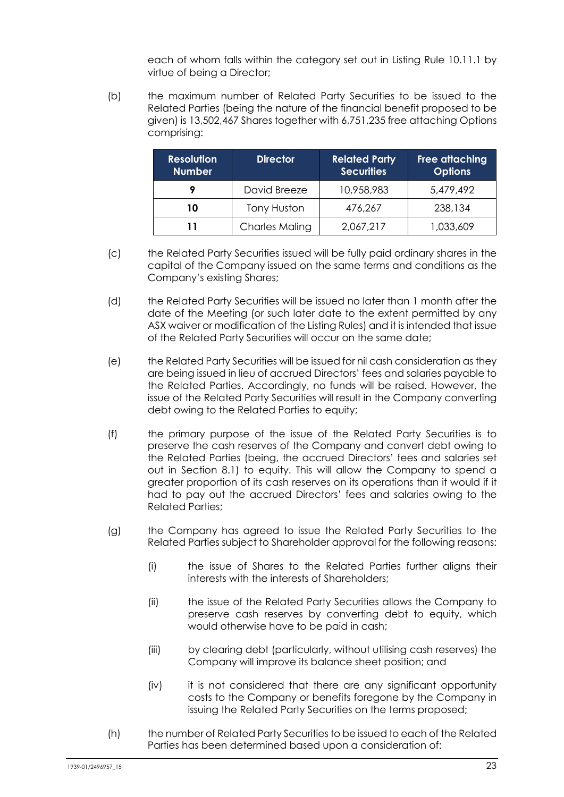each of whom falls within the category set out in Listing Rule 10.11.1 by virtue of being a Director;

(b) the maximum number of Related Party Securities to be issued to the Related Parties (being the nature of the financial benefit proposed to be given) is 13,502,467 Shares together with 6,751,235 free attaching Options comprising:

| <b>Resolution</b><br><b>Number</b> | <b>Director</b>       | <b>Related Party</b><br><b>Securities</b> | <b>Free attaching</b><br><b>Options</b> |
|------------------------------------|-----------------------|-------------------------------------------|-----------------------------------------|
|                                    | David Breeze          | 10,958,983                                | 5,479,492                               |
| 10                                 | Tony Huston           | 476,267                                   | 238,134                                 |
| 11                                 | <b>Charles Maling</b> | 2,067,217                                 | 1,033,609                               |

- (c) the Related Party Securities issued will be fully paid ordinary shares in the capital of the Company issued on the same terms and conditions as the Company's existing Shares;
- (d) the Related Party Securities will be issued no later than 1 month after the date of the Meeting (or such later date to the extent permitted by any ASX waiver or modification of the Listing Rules) and it is intended that issue of the Related Party Securities will occur on the same date;
- (e) the Related Party Securities will be issued for nil cash consideration as they are being issued in lieu of accrued Directors' fees and salaries payable to the Related Parties. Accordingly, no funds will be raised. However, the issue of the Related Party Securities will result in the Company converting debt owing to the Related Parties to equity;
- (f) the primary purpose of the issue of the Related Party Securities is to preserve the cash reserves of the Company and convert debt owing to the Related Parties (being, the accrued Directors' fees and salaries set out in Section 8.1) to equity. This will allow the Company to spend a greater proportion of its cash reserves on its operations than it would if it had to pay out the accrued Directors' fees and salaries owing to the Related Parties;
- (g) the Company has agreed to issue the Related Party Securities to the Related Parties subject to Shareholder approval for the following reasons:
	- (i) the issue of Shares to the Related Parties further aligns their interests with the interests of Shareholders;
	- (ii) the issue of the Related Party Securities allows the Company to preserve cash reserves by converting debt to equity, which would otherwise have to be paid in cash;
	- (iii) by clearing debt (particularly, without utilising cash reserves) the Company will improve its balance sheet position; and
	- (iv) it is not considered that there are any significant opportunity costs to the Company or benefits foregone by the Company in issuing the Related Party Securities on the terms proposed;
- (h) the number of Related Party Securities to be issued to each of the Related Parties has been determined based upon a consideration of: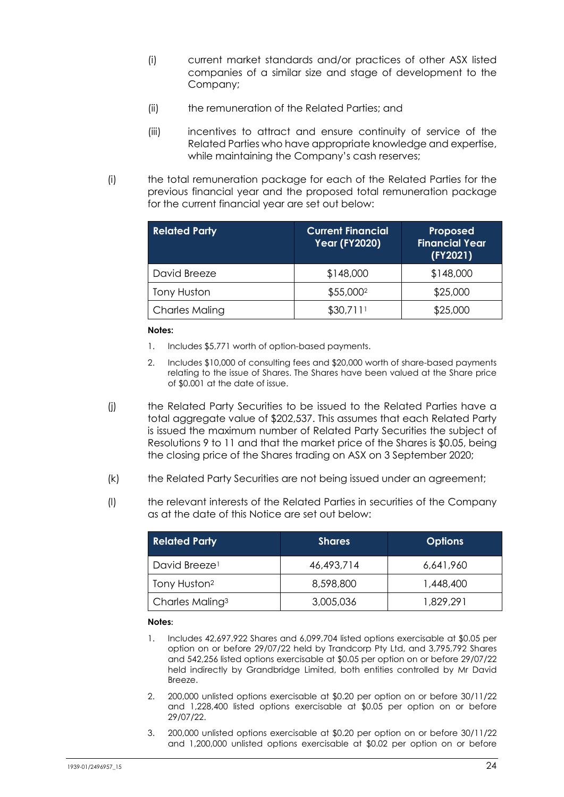- (i) current market standards and/or practices of other ASX listed companies of a similar size and stage of development to the Company;
- (ii) the remuneration of the Related Parties; and
- (iii) incentives to attract and ensure continuity of service of the Related Parties who have appropriate knowledge and expertise, while maintaining the Company's cash reserves;
- (i) the total remuneration package for each of the Related Parties for the previous financial year and the proposed total remuneration package for the current financial year are set out below:

| <b>Related Party</b>  | <b>Current Financial</b><br><b>Year (FY2020)</b> | Proposed<br><b>Financial Year</b><br>(FY2021) |
|-----------------------|--------------------------------------------------|-----------------------------------------------|
| David Breeze          | \$148,000                                        | \$148,000                                     |
| Tony Huston           | \$55,000 <sup>2</sup>                            | \$25,000                                      |
| <b>Charles Maling</b> | \$30,7111                                        | \$25,000                                      |

#### **Notes:**

- 1. Includes \$5,771 worth of option-based payments.
- 2. Includes \$10,000 of consulting fees and \$20,000 worth of share-based payments relating to the issue of Shares. The Shares have been valued at the Share price of \$0.001 at the date of issue.
- (j) the Related Party Securities to be issued to the Related Parties have a total aggregate value of \$202,537. This assumes that each Related Party is issued the maximum number of Related Party Securities the subject of Resolutions 9 to 11 and that the market price of the Shares is \$0.05, being the closing price of the Shares trading on ASX on 3 September 2020;
- (k) the Related Party Securities are not being issued under an agreement;
- (l) the relevant interests of the Related Parties in securities of the Company as at the date of this Notice are set out below:

| <b>Related Party</b>        | <b>Shares</b> | <b>Options</b> |
|-----------------------------|---------------|----------------|
| David Breeze <sup>1</sup>   | 46,493,714    | 6,641,960      |
| Tony Huston <sup>2</sup>    | 8,598,800     | 1,448,400      |
| Charles Maling <sup>3</sup> | 3,005,036     | 1,829,291      |

#### **Notes:**

- 1. Includes 42,697,922 Shares and 6,099,704 listed options exercisable at \$0.05 per option on or before 29/07/22 held by Trandcorp Pty Ltd, and 3,795,792 Shares and 542,256 listed options exercisable at \$0.05 per option on or before 29/07/22 held indirectly by Grandbridge Limited, both entities controlled by Mr David Breeze.
- 2. 200,000 unlisted options exercisable at \$0.20 per option on or before 30/11/22 and 1,228,400 listed options exercisable at \$0.05 per option on or before 29/07/22.
- 3. 200,000 unlisted options exercisable at \$0.20 per option on or before 30/11/22 and 1,200,000 unlisted options exercisable at \$0.02 per option on or before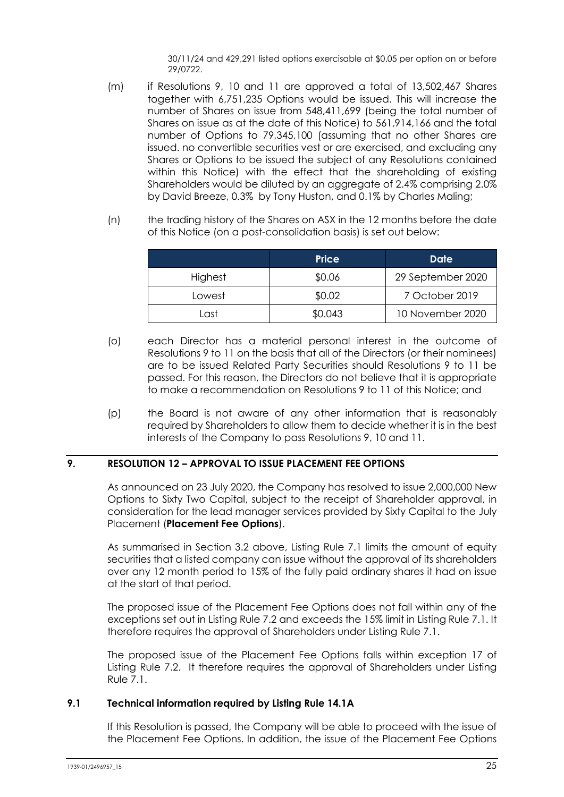30/11/24 and 429,291 listed options exercisable at \$0.05 per option on or before 29/0722.

- (m) if Resolutions [9,](#page-5-0) [10](#page-5-1) and [11](#page-6-0) are approved a total of 13,502,467 Shares together with 6,751,235 Options would be issued. This will increase the number of Shares on issue from 548,411,699 (being the total number of Shares on issue as at the date of this Notice) to 561,914,166 and the total number of Options to 79,345,100 (assuming that no other Shares are issued. no convertible securities vest or are exercised, and excluding any Shares or Options to be issued the subject of any Resolutions contained within this Notice) with the effect that the shareholding of existing Shareholders would be diluted by an aggregate of 2.4% comprising 2.0% by David Breeze, 0.3% by Tony Huston, and 0.1% by Charles Maling;
- (n) the trading history of the Shares on ASX in the 12 months before the date of this Notice (on a post-consolidation basis) is set out below:

|         | <b>Price</b> | Date              |
|---------|--------------|-------------------|
| Highest | \$0.06       | 29 September 2020 |
| Lowest  | \$0.02       | 7 October 2019    |
| Last    | \$0.043      | 10 November 2020  |

- (o) each Director has a material personal interest in the outcome of Resolutions [9](#page-5-2) to [11](#page-6-1) on the basis that all of the Directors (or their nominees) are to be issued Related Party Securities should Resolutions 9 to 11 be passed. For this reason, the Directors do not believe that it is appropriate to make a recommendation on Resolutions 9 to 11 of this Notice; and
- (p) the Board is not aware of any other information that is reasonably required by Shareholders to allow them to decide whether it is in the best interests of the Company to pass Resolutions [9,](#page-5-0) [10](#page-5-1) and [11.](#page-6-0)

### **9. RESOLUTION [12](#page-7-0) – APPROVAL TO ISSUE PLACEMENT FEE OPTIONS**

As announced on 23 July 2020, the Company has resolved to issue 2,000,000 New Options to Sixty Two Capital, subject to the receipt of Shareholder approval, in consideration for the lead manager services provided by Sixty Capital to the July Placement (**Placement Fee Options**).

As summarised in Section [3.2](#page-13-0) above, Listing Rule 7.1 limits the amount of equity securities that a listed company can issue without the approval of its shareholders over any 12 month period to 15% of the fully paid ordinary shares it had on issue at the start of that period.

The proposed issue of the Placement Fee Options does not fall within any of the exceptions set out in Listing Rule 7.2 and exceeds the 15% limit in Listing Rule 7.1. It therefore requires the approval of Shareholders under Listing Rule 7.1.

The proposed issue of the Placement Fee Options falls within exception 17 of Listing Rule 7.2. It therefore requires the approval of Shareholders under Listing Rule 7.1.

### **9.1 Technical information required by Listing Rule 14.1A**

If this Resolution is passed, the Company will be able to proceed with the issue of the Placement Fee Options. In addition, the issue of the Placement Fee Options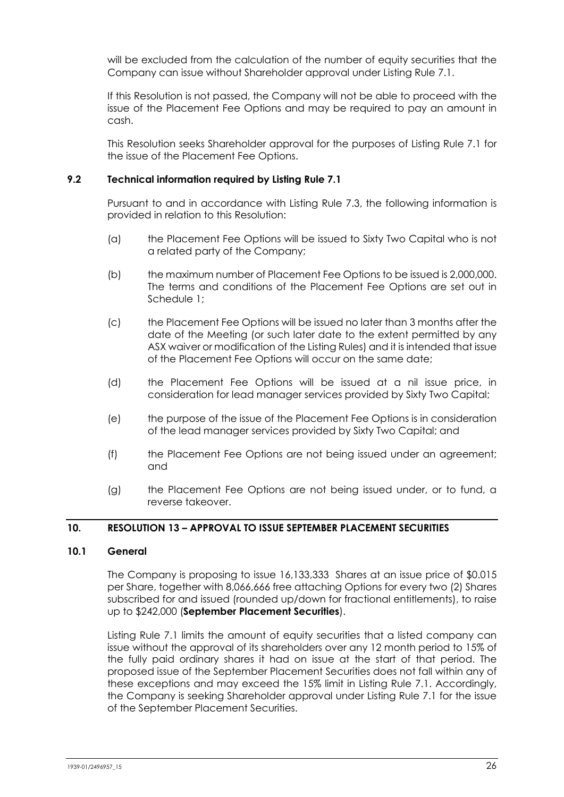will be excluded from the calculation of the number of equity securities that the Company can issue without Shareholder approval under Listing Rule 7.1.

If this Resolution is not passed, the Company will not be able to proceed with the issue of the Placement Fee Options and may be required to pay an amount in cash.

This Resolution seeks Shareholder approval for the purposes of Listing Rule 7.1 for the issue of the Placement Fee Options.

### **9.2 Technical information required by Listing Rule 7.1**

Pursuant to and in accordance with Listing Rule 7.3, the following information is provided in relation to this Resolution:

- (a) the Placement Fee Options will be issued to Sixty Two Capital who is not a related party of the Company;
- (b) the maximum number of Placement Fee Options to be issued is 2,000,000. The terms and conditions of the Placement Fee Options are set out in [Schedule](#page-29-0) 1;
- (c) the Placement Fee Options will be issued no later than 3 months after the date of the Meeting (or such later date to the extent permitted by any ASX waiver or modification of the Listing Rules) and it is intended that issue of the Placement Fee Options will occur on the same date;
- (d) the Placement Fee Options will be issued at a nil issue price, in consideration for lead manager services provided by Sixty Two Capital;
- (e) the purpose of the issue of the Placement Fee Options is in consideration of the lead manager services provided by Sixty Two Capital; and
- (f) the Placement Fee Options are not being issued under an agreement; and
- (g) the Placement Fee Options are not being issued under, or to fund, a reverse takeover.

### **10. RESOLUTION [13](#page-8-0) – APPROVAL TO ISSUE SEPTEMBER PLACEMENT SECURITIES**

### **10.1 General**

The Company is proposing to issue 16,133,333 Shares at an issue price of \$0.015 per Share, together with 8,066,666 free attaching Options for every two (2) Shares subscribed for and issued (rounded up/down for fractional entitlements), to raise up to \$242,000 (**September Placement Securities**).

Listing Rule 7.1 limits the amount of equity securities that a listed company can issue without the approval of its shareholders over any 12 month period to 15% of the fully paid ordinary shares it had on issue at the start of that period. The proposed issue of the September Placement Securities does not fall within any of these exceptions and may exceed the 15% limit in Listing Rule 7.1. Accordingly, the Company is seeking Shareholder approval under Listing Rule 7.1 for the issue of the September Placement Securities.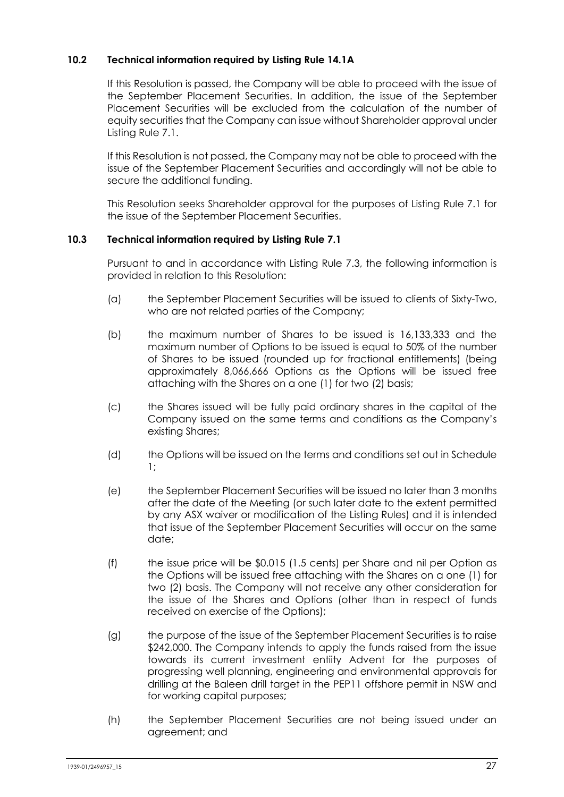# **10.2 Technical information required by Listing Rule 14.1A**

If this Resolution is passed, the Company will be able to proceed with the issue of the September Placement Securities. In addition, the issue of the September Placement Securities will be excluded from the calculation of the number of equity securities that the Company can issue without Shareholder approval under Listing Rule 7.1.

If this Resolution is not passed, the Company may not be able to proceed with the issue of the September Placement Securities and accordingly will not be able to secure the additional funding.

This Resolution seeks Shareholder approval for the purposes of Listing Rule 7.1 for the issue of the September Placement Securities.

### **10.3 Technical information required by Listing Rule 7.1**

Pursuant to and in accordance with Listing Rule 7.3, the following information is provided in relation to this Resolution:

- (a) the September Placement Securities will be issued to clients of Sixty-Two, who are not related parties of the Company;
- (b) the maximum number of Shares to be issued is 16,133,333 and the maximum number of Options to be issued is equal to 50% of the number of Shares to be issued (rounded up for fractional entitlements) (being approximately 8,066,666 Options as the Options will be issued free attaching with the Shares on a one (1) for two (2) basis;
- (c) the Shares issued will be fully paid ordinary shares in the capital of the Company issued on the same terms and conditions as the Company's existing Shares;
- (d) the Options will be issued on the terms and conditions set out i[n Schedule](#page-29-0) [1;](#page-29-0)
- (e) the September Placement Securities will be issued no later than 3 months after the date of the Meeting (or such later date to the extent permitted by any ASX waiver or modification of the Listing Rules) and it is intended that issue of the September Placement Securities will occur on the same date;
- (f) the issue price will be \$0.015 (1.5 cents) per Share and nil per Option as the Options will be issued free attaching with the Shares on a one (1) for two (2) basis. The Company will not receive any other consideration for the issue of the Shares and Options (other than in respect of funds received on exercise of the Options);
- (g) the purpose of the issue of the September Placement Securities is to raise \$242,000. The Company intends to apply the funds raised from the issue towards its current investment entiity Advent for the purposes of progressing well planning, engineering and environmental approvals for drilling at the Baleen drill target in the PEP11 offshore permit in NSW and for working capital purposes;
- (h) the September Placement Securities are not being issued under an agreement; and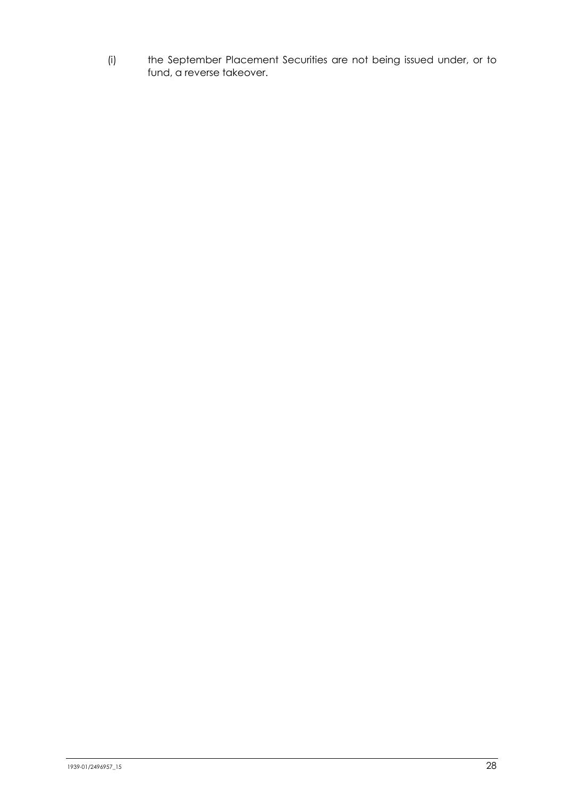(i) the September Placement Securities are not being issued under, or to fund, a reverse takeover.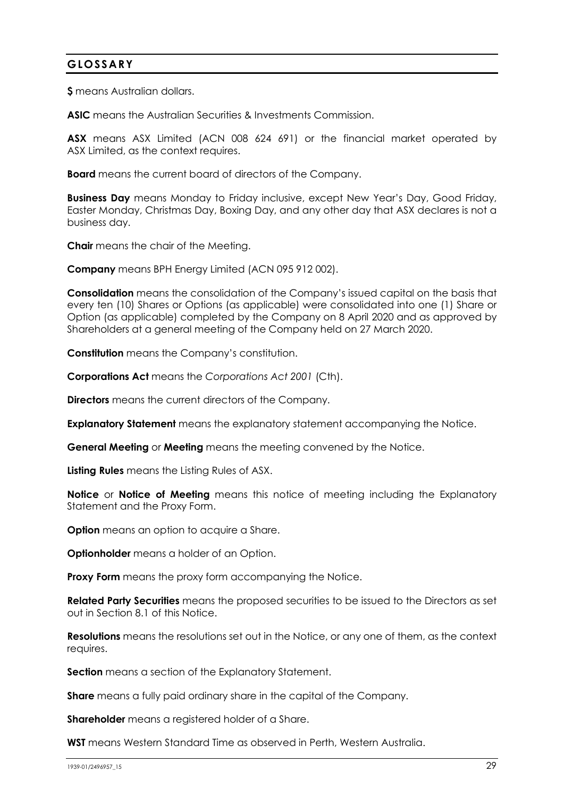# **GLOSSARY**

**\$** means Australian dollars.

**ASIC** means the Australian Securities & Investments Commission.

**ASX** means ASX Limited (ACN 008 624 691) or the financial market operated by ASX Limited, as the context requires.

**Board** means the current board of directors of the Company.

**Business Day** means Monday to Friday inclusive, except New Year's Day, Good Friday, Easter Monday, Christmas Day, Boxing Day, and any other day that ASX declares is not a business day.

**Chair** means the chair of the Meeting.

**Company** means BPH Energy Limited (ACN 095 912 002).

**Consolidation** means the consolidation of the Company's issued capital on the basis that every ten (10) Shares or Options (as applicable) were consolidated into one (1) Share or Option (as applicable) completed by the Company on 8 April 2020 and as approved by Shareholders at a general meeting of the Company held on 27 March 2020.

**Constitution** means the Company's constitution.

**Corporations Act** means the *Corporations Act 2001* (Cth).

**Directors** means the current directors of the Company.

**Explanatory Statement** means the explanatory statement accompanying the Notice.

**General Meeting** or **Meeting** means the meeting convened by the Notice.

**Listing Rules** means the Listing Rules of ASX.

**Notice** or **Notice of Meeting** means this notice of meeting including the Explanatory Statement and the Proxy Form.

**Option** means an option to acquire a Share.

**Optionholder** means a holder of an Option.

**Proxy Form** means the proxy form accompanying the Notice.

**Related Party Securities** means the proposed securities to be issued to the Directors as set out in Section [8.1](#page-19-0) of this Notice.

**Resolutions** means the resolutions set out in the Notice, or any one of them, as the context requires.

**Section** means a section of the Explanatory Statement.

**Share** means a fully paid ordinary share in the capital of the Company.

**Shareholder** means a registered holder of a Share.

**WST** means Western Standard Time as observed in Perth, Western Australia.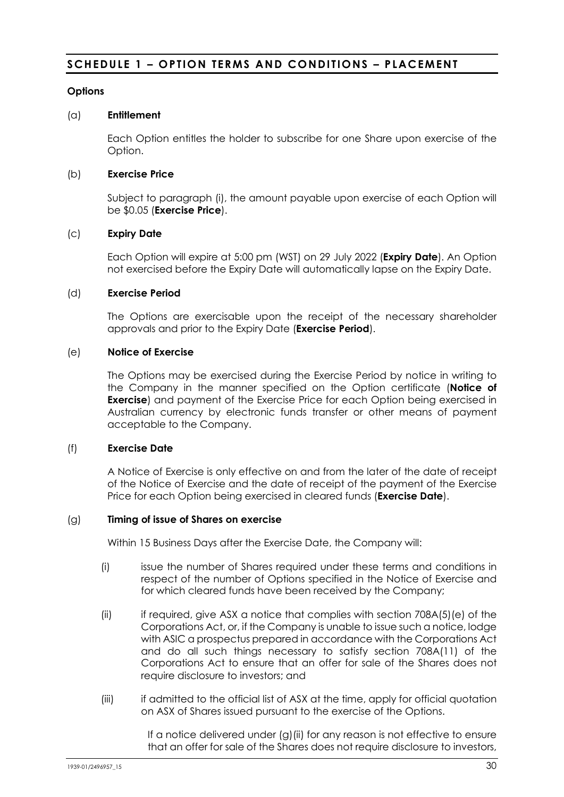# <span id="page-29-0"></span>**SCHEDULE 1 – OPTION TERMS AND CONDITIONS – PLACEMENT**

### **Options**

#### (a) **Entitlement**

Each Option entitles the holder to subscribe for one Share upon exercise of the Option.

### (b) **Exercise Price**

Subject to paragraph [\(i\),](#page-30-0) the amount payable upon exercise of each Option will be \$0.05 (**Exercise Price**).

### (c) **Expiry Date**

Each Option will expire at 5:00 pm (WST) on 29 July 2022 (**Expiry Date**). An Option not exercised before the Expiry Date will automatically lapse on the Expiry Date.

#### (d) **Exercise Period**

The Options are exercisable upon the receipt of the necessary shareholder approvals and prior to the Expiry Date (**Exercise Period**).

#### (e) **Notice of Exercise**

The Options may be exercised during the Exercise Period by notice in writing to the Company in the manner specified on the Option certificate (**Notice of Exercise**) and payment of the Exercise Price for each Option being exercised in Australian currency by electronic funds transfer or other means of payment acceptable to the Company.

#### (f) **Exercise Date**

A Notice of Exercise is only effective on and from the later of the date of receipt of the Notice of Exercise and the date of receipt of the payment of the Exercise Price for each Option being exercised in cleared funds (**Exercise Date**).

#### <span id="page-29-1"></span>(g) **Timing of issue of Shares on exercise**

Within 15 Business Days after the Exercise Date, the Company will:

- (i) issue the number of Shares required under these terms and conditions in respect of the number of Options specified in the Notice of Exercise and for which cleared funds have been received by the Company;
- <span id="page-29-2"></span>(ii) if required, give ASX a notice that complies with section  $708A(5)(e)$  of the Corporations Act, or, if the Company is unable to issue such a notice, lodge with ASIC a prospectus prepared in accordance with the Corporations Act and do all such things necessary to satisfy section 708A(11) of the Corporations Act to ensure that an offer for sale of the Shares does not require disclosure to investors; and
- (iii) if admitted to the official list of ASX at the time, apply for official quotation on ASX of Shares issued pursuant to the exercise of the Options.

If a notice delivered under [\(g\)](#page-29-1)[\(ii\)](#page-29-2) for any reason is not effective to ensure that an offer for sale of the Shares does not require disclosure to investors,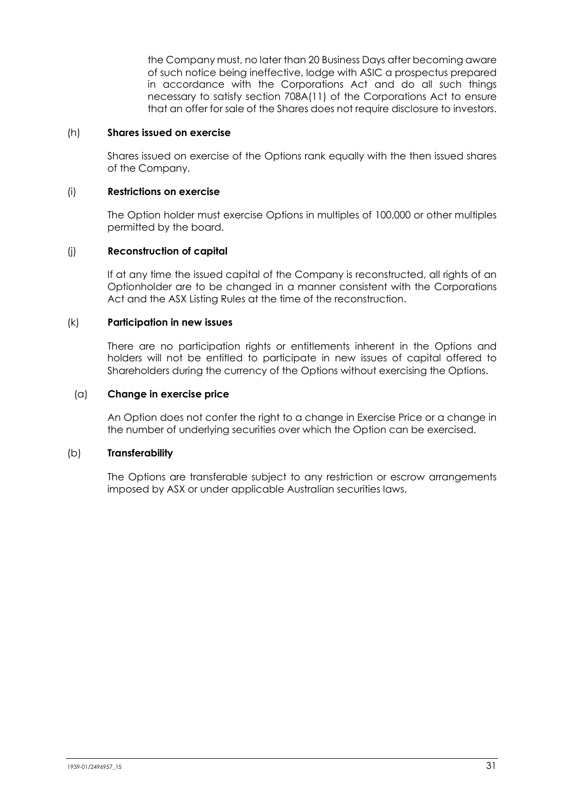the Company must, no later than 20 Business Days after becoming aware of such notice being ineffective, lodge with ASIC a prospectus prepared in accordance with the Corporations Act and do all such things necessary to satisfy section 708A(11) of the Corporations Act to ensure that an offer for sale of the Shares does not require disclosure to investors.

### (h) **Shares issued on exercise**

Shares issued on exercise of the Options rank equally with the then issued shares of the Company.

#### <span id="page-30-0"></span>(i) **Restrictions on exercise**

The Option holder must exercise Options in multiples of 100,000 or other multiples permitted by the board.

#### (j) **Reconstruction of capital**

If at any time the issued capital of the Company is reconstructed, all rights of an Optionholder are to be changed in a manner consistent with the Corporations Act and the ASX Listing Rules at the time of the reconstruction.

#### (k) **Participation in new issues**

There are no participation rights or entitlements inherent in the Options and holders will not be entitled to participate in new issues of capital offered to Shareholders during the currency of the Options without exercising the Options.

#### (a) **Change in exercise price**

An Option does not confer the right to a change in Exercise Price or a change in the number of underlying securities over which the Option can be exercised.

### (b) **Transferability**

The Options are transferable subject to any restriction or escrow arrangements imposed by ASX or under applicable Australian securities laws.